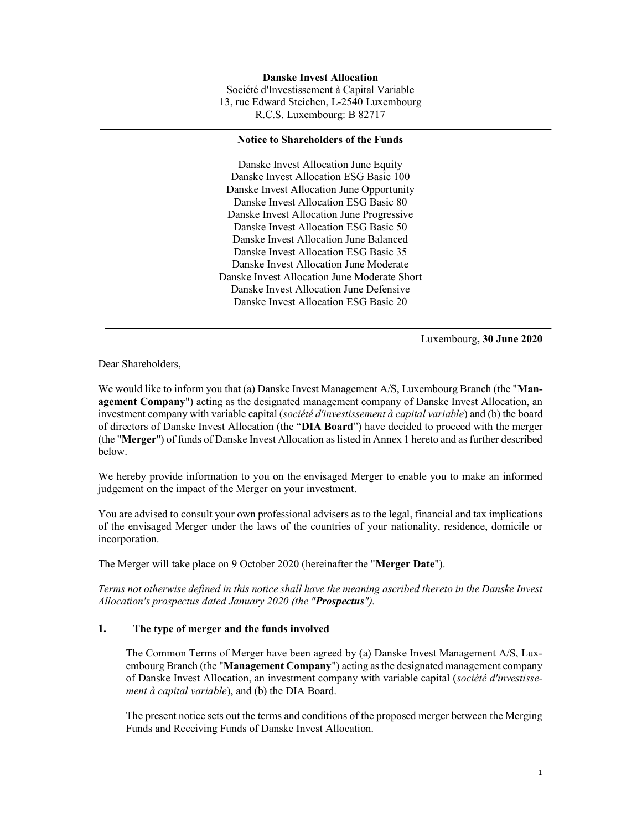Danske Invest Allocation Société d'Investissement à Capital Variable 13, rue Edward Steichen, L-2540 Luxembourg R.C.S. Luxembourg: B 82717

#### Notice to Shareholders of the Funds

Danske Invest Allocation June Equity Danske Invest Allocation ESG Basic 100 Danske Invest Allocation June Opportunity Danske Invest Allocation ESG Basic 80 Danske Invest Allocation June Progressive Danske Invest Allocation ESG Basic 50 Danske Invest Allocation June Balanced Danske Invest Allocation ESG Basic 35 Danske Invest Allocation June Moderate Danske Invest Allocation June Moderate Short Danske Invest Allocation June Defensive Danske Invest Allocation ESG Basic 20

Luxembourg, 30 June 2020

Dear Shareholders,

We would like to inform you that (a) Danske Invest Management A/S, Luxembourg Branch (the "Management Company") acting as the designated management company of Danske Invest Allocation, an investment company with variable capital (société d'investissement à capital variable) and (b) the board of directors of Danske Invest Allocation (the "DIA Board") have decided to proceed with the merger (the "Merger") of funds of Danske Invest Allocation as listed in Annex 1 hereto and as further described below.

We hereby provide information to you on the envisaged Merger to enable you to make an informed judgement on the impact of the Merger on your investment.

You are advised to consult your own professional advisers as to the legal, financial and tax implications of the envisaged Merger under the laws of the countries of your nationality, residence, domicile or incorporation.

The Merger will take place on 9 October 2020 (hereinafter the "Merger Date").

Terms not otherwise defined in this notice shall have the meaning ascribed thereto in the Danske Invest Allocation's prospectus dated January 2020 (the "Prospectus").

#### 1. The type of merger and the funds involved

The Common Terms of Merger have been agreed by (a) Danske Invest Management A/S, Luxembourg Branch (the "Management Company") acting as the designated management company of Danske Invest Allocation, an investment company with variable capital (société d'investissement à capital variable), and (b) the DIA Board.

The present notice sets out the terms and conditions of the proposed merger between the Merging Funds and Receiving Funds of Danske Invest Allocation.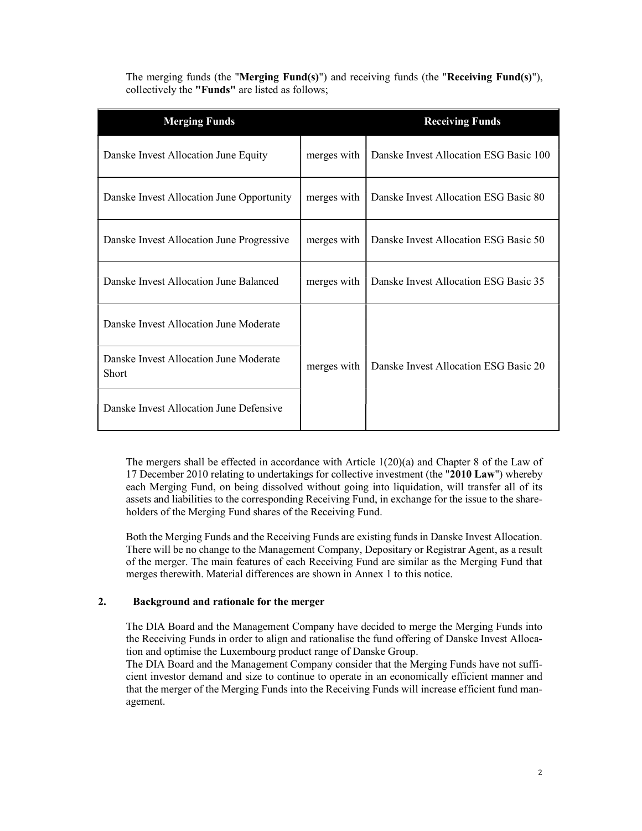The merging funds (the "Merging Fund(s)") and receiving funds (the "Receiving Fund(s)"), collectively the "Funds" are listed as follows;

| <b>Merging Funds</b>                            |             | <b>Receiving Funds</b>                 |
|-------------------------------------------------|-------------|----------------------------------------|
| Danske Invest Allocation June Equity            | merges with | Danske Invest Allocation ESG Basic 100 |
| Danske Invest Allocation June Opportunity       | merges with | Danske Invest Allocation ESG Basic 80  |
| Danske Invest Allocation June Progressive       | merges with | Danske Invest Allocation ESG Basic 50  |
| Danske Invest Allocation June Balanced          | merges with | Danske Invest Allocation ESG Basic 35  |
| Danske Invest Allocation June Moderate          |             |                                        |
| Danske Invest Allocation June Moderate<br>Short | merges with | Danske Invest Allocation ESG Basic 20  |
| Danske Invest Allocation June Defensive         |             |                                        |

The mergers shall be effected in accordance with Article 1(20)(a) and Chapter 8 of the Law of 17 December 2010 relating to undertakings for collective investment (the "2010 Law") whereby each Merging Fund, on being dissolved without going into liquidation, will transfer all of its assets and liabilities to the corresponding Receiving Fund, in exchange for the issue to the shareholders of the Merging Fund shares of the Receiving Fund.

Both the Merging Funds and the Receiving Funds are existing funds in Danske Invest Allocation. There will be no change to the Management Company, Depositary or Registrar Agent, as a result of the merger. The main features of each Receiving Fund are similar as the Merging Fund that merges therewith. Material differences are shown in Annex 1 to this notice.

# 2. Background and rationale for the merger

The DIA Board and the Management Company have decided to merge the Merging Funds into the Receiving Funds in order to align and rationalise the fund offering of Danske Invest Allocation and optimise the Luxembourg product range of Danske Group.

The DIA Board and the Management Company consider that the Merging Funds have not sufficient investor demand and size to continue to operate in an economically efficient manner and that the merger of the Merging Funds into the Receiving Funds will increase efficient fund management.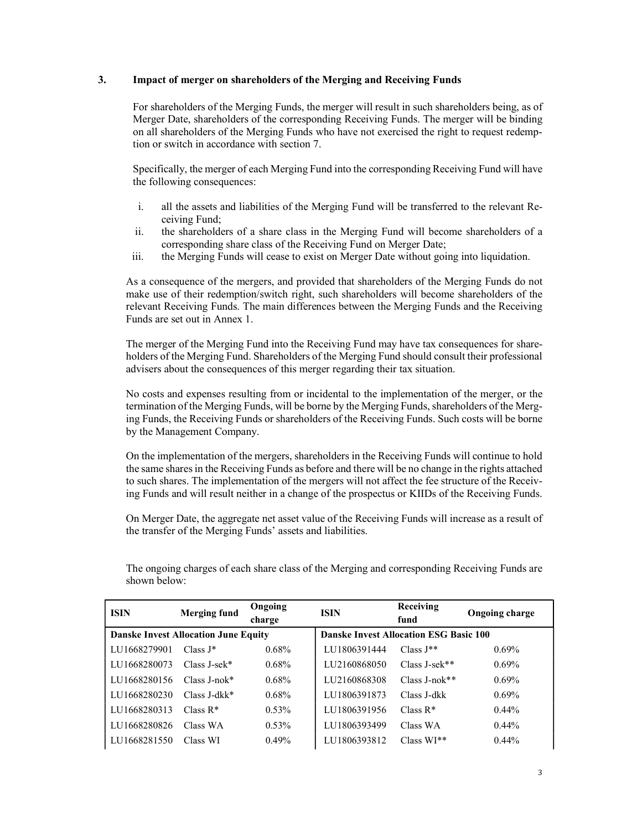### 3. Impact of merger on shareholders of the Merging and Receiving Funds

For shareholders of the Merging Funds, the merger will result in such shareholders being, as of Merger Date, shareholders of the corresponding Receiving Funds. The merger will be binding on all shareholders of the Merging Funds who have not exercised the right to request redemption or switch in accordance with section 7.

Specifically, the merger of each Merging Fund into the corresponding Receiving Fund will have the following consequences:

- i. all the assets and liabilities of the Merging Fund will be transferred to the relevant Receiving Fund;
- ii. the shareholders of a share class in the Merging Fund will become shareholders of a corresponding share class of the Receiving Fund on Merger Date;
- iii. the Merging Funds will cease to exist on Merger Date without going into liquidation.

As a consequence of the mergers, and provided that shareholders of the Merging Funds do not make use of their redemption/switch right, such shareholders will become shareholders of the relevant Receiving Funds. The main differences between the Merging Funds and the Receiving Funds are set out in Annex 1.

The merger of the Merging Fund into the Receiving Fund may have tax consequences for shareholders of the Merging Fund. Shareholders of the Merging Fund should consult their professional advisers about the consequences of this merger regarding their tax situation.

No costs and expenses resulting from or incidental to the implementation of the merger, or the termination of the Merging Funds, will be borne by the Merging Funds, shareholders of the Merging Funds, the Receiving Funds or shareholders of the Receiving Funds. Such costs will be borne by the Management Company.

On the implementation of the mergers, shareholders in the Receiving Funds will continue to hold the same shares in the Receiving Funds as before and there will be no change in the rights attached to such shares. The implementation of the mergers will not affect the fee structure of the Receiving Funds and will result neither in a change of the prospectus or KIIDs of the Receiving Funds.

On Merger Date, the aggregate net asset value of the Receiving Funds will increase as a result of the transfer of the Merging Funds' assets and liabilities.

| <b>ISIN</b>  | <b>Merging fund</b>                         | Ongoing<br>charge | <b>ISIN</b>                                   | Receiving<br>fund | <b>Ongoing charge</b> |
|--------------|---------------------------------------------|-------------------|-----------------------------------------------|-------------------|-----------------------|
|              | <b>Danske Invest Allocation June Equity</b> |                   | <b>Danske Invest Allocation ESG Basic 100</b> |                   |                       |
| LU1668279901 | $Class J^*$                                 | $0.68\%$          | LU1806391444                                  | Class $J^*$       | $0.69\%$              |
| LU1668280073 | $Class J-sek*$                              | $0.68\%$          | LU2160868050                                  | $Class J-sek**$   | $0.69\%$              |
| LU1668280156 | $Class J-nok*$                              | $0.68\%$          | LU2160868308                                  | $Class J-nok**$   | $0.69\%$              |
| LU1668280230 | Class J-dkk*                                | $0.68\%$          | LU1806391873                                  | Class J-dkk       | $0.69\%$              |
| LU1668280313 | Class $R^*$                                 | 0.53%             | LU1806391956                                  | Class $R^*$       | $0.44\%$              |
| LU1668280826 | Class WA                                    | $0.53\%$          | LU1806393499                                  | Class WA          | $0.44\%$              |
| LU1668281550 | Class WI                                    | 0.49%             | LU1806393812                                  | $Class WI**$      | $0.44\%$              |

The ongoing charges of each share class of the Merging and corresponding Receiving Funds are shown below: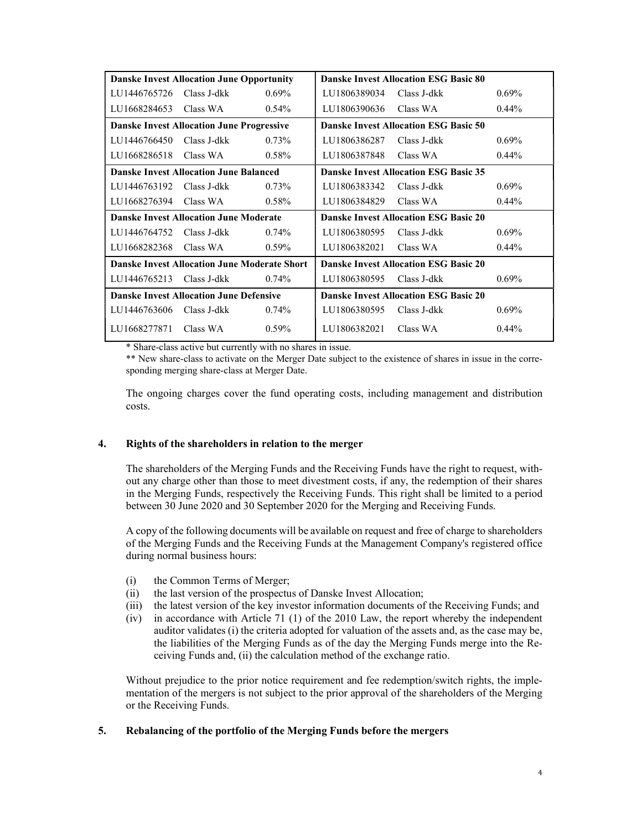|                                                  | <b>Danske Invest Allocation June Opportunity</b>    |          |                                              | <b>Danske Invest Allocation ESG Basic 80</b> |          |
|--------------------------------------------------|-----------------------------------------------------|----------|----------------------------------------------|----------------------------------------------|----------|
| LU1446765726                                     | Class J-dkk                                         | $0.69\%$ | LU1806389034                                 | Class J-dkk                                  | $0.69\%$ |
| LU1668284653 Class WA                            |                                                     | $0.54\%$ | LU1806390636                                 | Class WA                                     | $0.44\%$ |
| <b>Danske Invest Allocation June Progressive</b> |                                                     |          | <b>Danske Invest Allocation ESG Basic 50</b> |                                              |          |
| LU1446766450                                     | Class J-dkk                                         | 0.73%    | LU1806386287                                 | Class J-dkk                                  | $0.69\%$ |
| LU1668286518 Class WA                            |                                                     | $0.58\%$ | LU1806387848                                 | Class WA                                     | $0.44\%$ |
|                                                  | <b>Danske Invest Allocation June Balanced</b>       |          |                                              | <b>Danske Invest Allocation ESG Basic 35</b> |          |
| LU1446763192                                     | Class J-dkk                                         | $0.73\%$ | LU1806383342                                 | Class J-dkk                                  | $0.69\%$ |
| LU1668276394 Class WA                            |                                                     | $0.58\%$ | LU1806384829                                 | Class WA                                     | $0.44\%$ |
|                                                  | <b>Danske Invest Allocation June Moderate</b>       |          |                                              | <b>Danske Invest Allocation ESG Basic 20</b> |          |
| LU1446764752                                     | Class J-dkk                                         | $0.74\%$ | LU1806380595                                 | Class J-dkk                                  | $0.69\%$ |
| LU1668282368                                     | Class WA                                            | $0.59\%$ | LU1806382021                                 | Class WA                                     | $0.44\%$ |
|                                                  | <b>Danske Invest Allocation June Moderate Short</b> |          |                                              | <b>Danske Invest Allocation ESG Basic 20</b> |          |
| LU1446765213                                     | Class J-dkk                                         | $0.74\%$ | LU1806380595                                 | Class J-dkk                                  | $0.69\%$ |
|                                                  | <b>Danske Invest Allocation June Defensive</b>      |          |                                              | <b>Danske Invest Allocation ESG Basic 20</b> |          |
| LU1446763606                                     | Class J-dkk                                         | $0.74\%$ | LU1806380595                                 | Class J-dkk                                  | $0.69\%$ |
| LU1668277871 Class WA                            |                                                     | $0.59\%$ | LU1806382021                                 | Class WA                                     | $0.44\%$ |

\* Share-class active but currently with no shares in issue.

\*\* New share-class to activate on the Merger Date subject to the existence of shares in issue in the corresponding merging share-class at Merger Date.

The ongoing charges cover the fund operating costs, including management and distribution costs.

# 4. Rights of the shareholders in relation to the merger

The shareholders of the Merging Funds and the Receiving Funds have the right to request, without any charge other than those to meet divestment costs, if any, the redemption of their shares in the Merging Funds, respectively the Receiving Funds. This right shall be limited to a period between 30 June 2020 and 30 September 2020 for the Merging and Receiving Funds.

A copy of the following documents will be available on request and free of charge to shareholders of the Merging Funds and the Receiving Funds at the Management Company's registered office during normal business hours:

- (i) the Common Terms of Merger;
- (ii) the last version of the prospectus of Danske Invest Allocation;
- (iii) the latest version of the key investor information documents of the Receiving Funds; and
- (iv) in accordance with Article 71 (1) of the 2010 Law, the report whereby the independent auditor validates (i) the criteria adopted for valuation of the assets and, as the case may be, the liabilities of the Merging Funds as of the day the Merging Funds merge into the Receiving Funds and, (ii) the calculation method of the exchange ratio.

Without prejudice to the prior notice requirement and fee redemption/switch rights, the implementation of the mergers is not subject to the prior approval of the shareholders of the Merging or the Receiving Funds.

# 5. Rebalancing of the portfolio of the Merging Funds before the mergers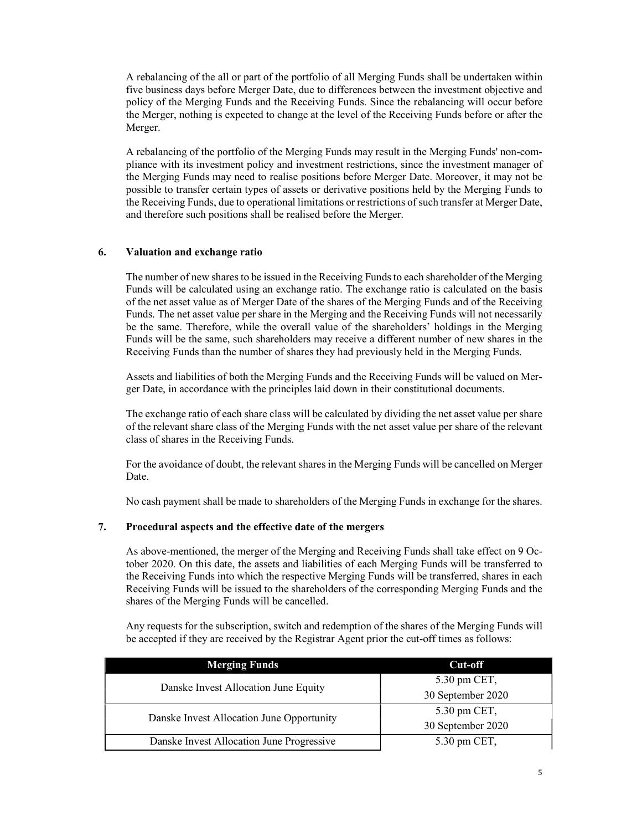A rebalancing of the all or part of the portfolio of all Merging Funds shall be undertaken within five business days before Merger Date, due to differences between the investment objective and policy of the Merging Funds and the Receiving Funds. Since the rebalancing will occur before the Merger, nothing is expected to change at the level of the Receiving Funds before or after the Merger.

A rebalancing of the portfolio of the Merging Funds may result in the Merging Funds' non-compliance with its investment policy and investment restrictions, since the investment manager of the Merging Funds may need to realise positions before Merger Date. Moreover, it may not be possible to transfer certain types of assets or derivative positions held by the Merging Funds to the Receiving Funds, due to operational limitations or restrictions of such transfer at Merger Date, and therefore such positions shall be realised before the Merger.

### 6. Valuation and exchange ratio

The number of new shares to be issued in the Receiving Funds to each shareholder of the Merging Funds will be calculated using an exchange ratio. The exchange ratio is calculated on the basis of the net asset value as of Merger Date of the shares of the Merging Funds and of the Receiving Funds. The net asset value per share in the Merging and the Receiving Funds will not necessarily be the same. Therefore, while the overall value of the shareholders' holdings in the Merging Funds will be the same, such shareholders may receive a different number of new shares in the Receiving Funds than the number of shares they had previously held in the Merging Funds.

Assets and liabilities of both the Merging Funds and the Receiving Funds will be valued on Merger Date, in accordance with the principles laid down in their constitutional documents.

The exchange ratio of each share class will be calculated by dividing the net asset value per share of the relevant share class of the Merging Funds with the net asset value per share of the relevant class of shares in the Receiving Funds.

For the avoidance of doubt, the relevant shares in the Merging Funds will be cancelled on Merger Date.

No cash payment shall be made to shareholders of the Merging Funds in exchange for the shares.

#### 7. Procedural aspects and the effective date of the mergers

As above-mentioned, the merger of the Merging and Receiving Funds shall take effect on 9 October 2020. On this date, the assets and liabilities of each Merging Funds will be transferred to the Receiving Funds into which the respective Merging Funds will be transferred, shares in each Receiving Funds will be issued to the shareholders of the corresponding Merging Funds and the shares of the Merging Funds will be cancelled.

Any requests for the subscription, switch and redemption of the shares of the Merging Funds will be accepted if they are received by the Registrar Agent prior the cut-off times as follows:

| <b>Merging Funds</b>                      | Cut-off           |
|-------------------------------------------|-------------------|
|                                           | 5.30 pm CET,      |
| Danske Invest Allocation June Equity      | 30 September 2020 |
|                                           | 5.30 pm CET,      |
| Danske Invest Allocation June Opportunity | 30 September 2020 |
| Danske Invest Allocation June Progressive | 5.30 pm CET,      |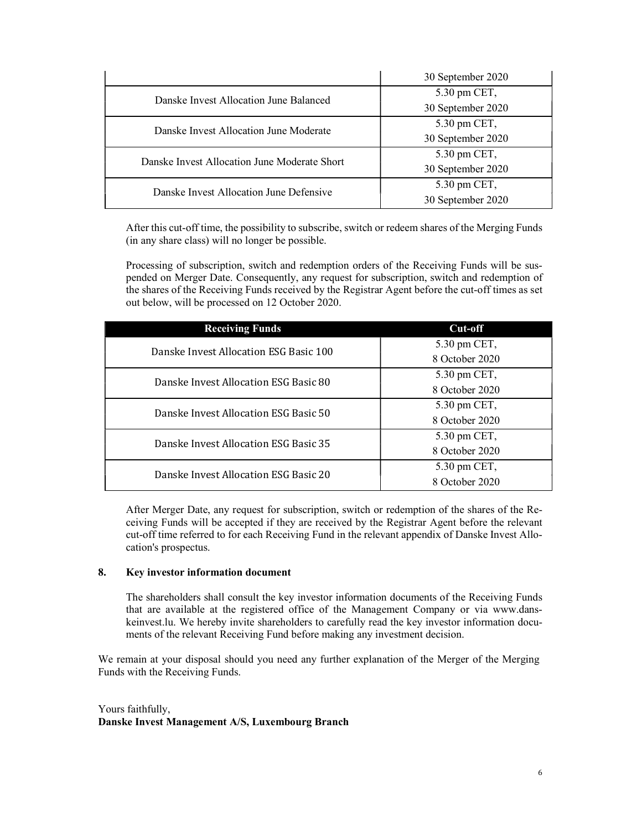|                                              | 30 September 2020               |
|----------------------------------------------|---------------------------------|
| Danske Invest Allocation June Balanced       | 5.30 pm CET,                    |
|                                              | 30 September 2020               |
| Danske Invest Allocation June Moderate       | 5.30 pm CET,                    |
|                                              | 30 September 2020               |
| Danske Invest Allocation June Moderate Short | $5.30 \text{ pm } \text{CET}$ , |
|                                              | 30 September 2020               |
| Danske Invest Allocation June Defensive      | 5.30 pm CET,                    |
|                                              | 30 September 2020               |

After this cut-off time, the possibility to subscribe, switch or redeem shares of the Merging Funds (in any share class) will no longer be possible.

Processing of subscription, switch and redemption orders of the Receiving Funds will be suspended on Merger Date. Consequently, any request for subscription, switch and redemption of the shares of the Receiving Funds received by the Registrar Agent before the cut-off times as set out below, will be processed on 12 October 2020.

| <b>Receiving Funds</b>                 | Cut-off        |
|----------------------------------------|----------------|
| Danske Invest Allocation ESG Basic 100 | 5.30 pm CET,   |
|                                        | 8 October 2020 |
| Danske Invest Allocation ESG Basic 80  | 5.30 pm CET,   |
|                                        | 8 October 2020 |
| Danske Invest Allocation ESG Basic 50  | 5.30 pm CET,   |
|                                        | 8 October 2020 |
| Danske Invest Allocation ESG Basic 35  | 5.30 pm CET,   |
|                                        | 8 October 2020 |
| Danske Invest Allocation ESG Basic 20  | 5.30 pm CET,   |
|                                        | 8 October 2020 |

After Merger Date, any request for subscription, switch or redemption of the shares of the Receiving Funds will be accepted if they are received by the Registrar Agent before the relevant cut-off time referred to for each Receiving Fund in the relevant appendix of Danske Invest Allocation's prospectus.

# 8. Key investor information document

The shareholders shall consult the key investor information documents of the Receiving Funds that are available at the registered office of the Management Company or via www.danskeinvest.lu. We hereby invite shareholders to carefully read the key investor information documents of the relevant Receiving Fund before making any investment decision.

We remain at your disposal should you need any further explanation of the Merger of the Merging Funds with the Receiving Funds.

Yours faithfully, Danske Invest Management A/S, Luxembourg Branch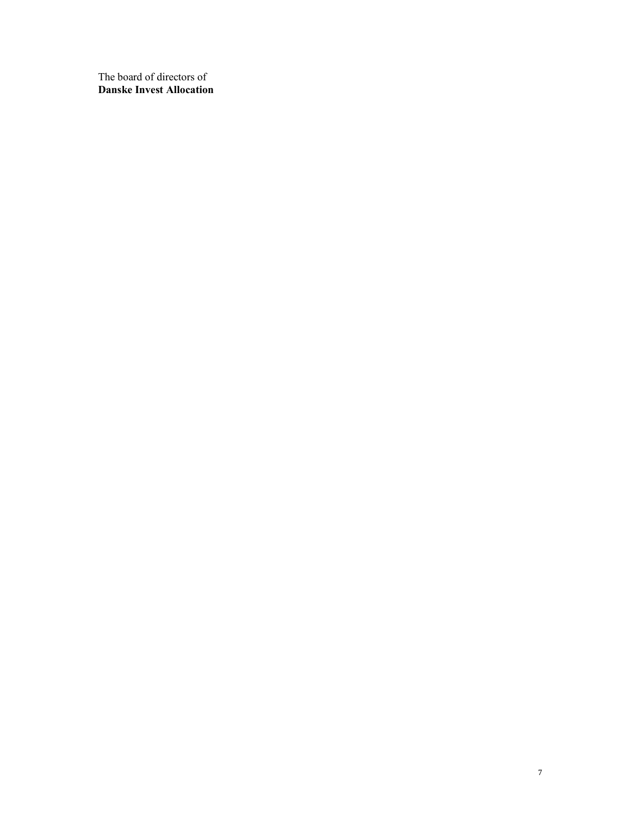The board of directors of Danske Invest Allocation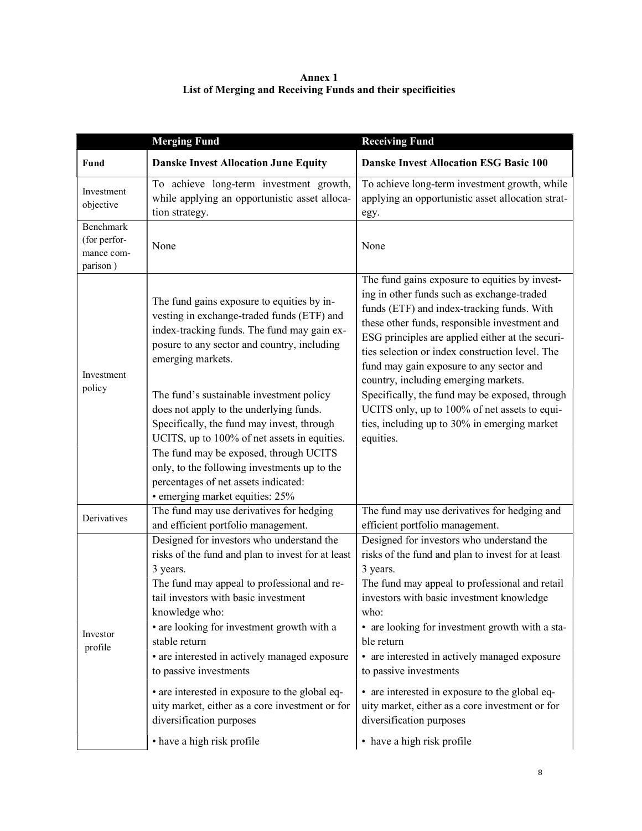| Annex 1                                                     |
|-------------------------------------------------------------|
| List of Merging and Receiving Funds and their specificities |

|                                                     | <b>Merging Fund</b>                                                                                                                                                                                                                                                                                                                                                                                                                                                                                                          | <b>Receiving Fund</b>                                                                                                                                                                                                                                                                                                                                                                                                                                                                                                        |
|-----------------------------------------------------|------------------------------------------------------------------------------------------------------------------------------------------------------------------------------------------------------------------------------------------------------------------------------------------------------------------------------------------------------------------------------------------------------------------------------------------------------------------------------------------------------------------------------|------------------------------------------------------------------------------------------------------------------------------------------------------------------------------------------------------------------------------------------------------------------------------------------------------------------------------------------------------------------------------------------------------------------------------------------------------------------------------------------------------------------------------|
| Fund                                                | <b>Danske Invest Allocation June Equity</b>                                                                                                                                                                                                                                                                                                                                                                                                                                                                                  | <b>Danske Invest Allocation ESG Basic 100</b>                                                                                                                                                                                                                                                                                                                                                                                                                                                                                |
| Investment<br>objective                             | To achieve long-term investment growth,<br>while applying an opportunistic asset alloca-<br>tion strategy.                                                                                                                                                                                                                                                                                                                                                                                                                   | To achieve long-term investment growth, while<br>applying an opportunistic asset allocation strat-<br>egy.                                                                                                                                                                                                                                                                                                                                                                                                                   |
| Benchmark<br>(for perfor-<br>mance com-<br>parison) | None                                                                                                                                                                                                                                                                                                                                                                                                                                                                                                                         | None                                                                                                                                                                                                                                                                                                                                                                                                                                                                                                                         |
| Investment<br>policy                                | The fund gains exposure to equities by in-<br>vesting in exchange-traded funds (ETF) and<br>index-tracking funds. The fund may gain ex-<br>posure to any sector and country, including<br>emerging markets.<br>The fund's sustainable investment policy                                                                                                                                                                                                                                                                      | The fund gains exposure to equities by invest-<br>ing in other funds such as exchange-traded<br>funds (ETF) and index-tracking funds. With<br>these other funds, responsible investment and<br>ESG principles are applied either at the securi-<br>ties selection or index construction level. The<br>fund may gain exposure to any sector and<br>country, including emerging markets.<br>Specifically, the fund may be exposed, through                                                                                     |
|                                                     | does not apply to the underlying funds.<br>Specifically, the fund may invest, through<br>UCITS, up to 100% of net assets in equities.<br>The fund may be exposed, through UCITS<br>only, to the following investments up to the<br>percentages of net assets indicated:<br>• emerging market equities: 25%                                                                                                                                                                                                                   | UCITS only, up to 100% of net assets to equi-<br>ties, including up to 30% in emerging market<br>equities.                                                                                                                                                                                                                                                                                                                                                                                                                   |
| Derivatives                                         | The fund may use derivatives for hedging<br>and efficient portfolio management.                                                                                                                                                                                                                                                                                                                                                                                                                                              | The fund may use derivatives for hedging and<br>efficient portfolio management.                                                                                                                                                                                                                                                                                                                                                                                                                                              |
| Investor<br>profile                                 | Designed for investors who understand the<br>risks of the fund and plan to invest for at least<br>3 years.<br>The fund may appeal to professional and re-<br>tail investors with basic investment<br>knowledge who:<br>• are looking for investment growth with a<br>stable return<br>• are interested in actively managed exposure<br>to passive investments<br>• are interested in exposure to the global eq-<br>uity market, either as a core investment or for<br>diversification purposes<br>• have a high risk profile | Designed for investors who understand the<br>risks of the fund and plan to invest for at least<br>3 years.<br>The fund may appeal to professional and retail<br>investors with basic investment knowledge<br>who:<br>• are looking for investment growth with a sta-<br>ble return<br>• are interested in actively managed exposure<br>to passive investments<br>• are interested in exposure to the global eq-<br>uity market, either as a core investment or for<br>diversification purposes<br>• have a high risk profile |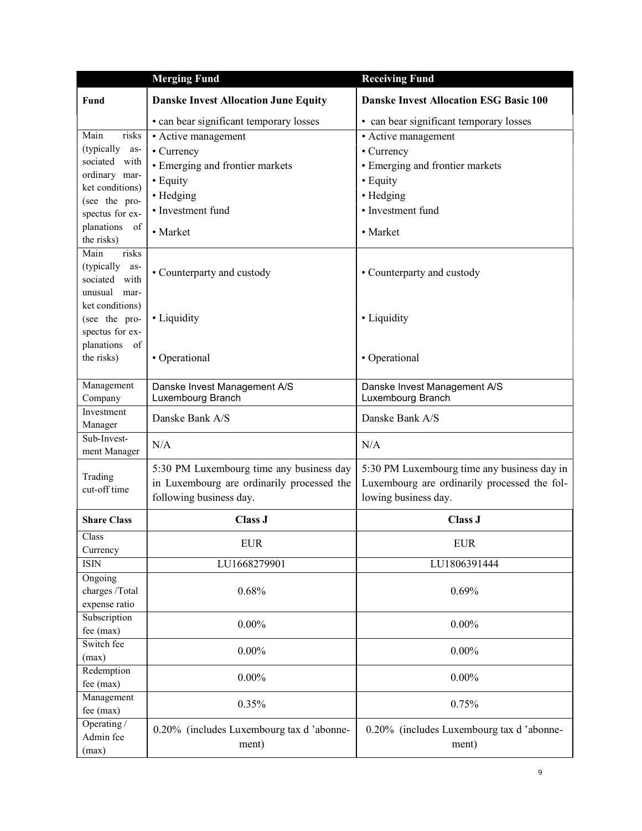|                                  | <b>Merging Fund</b>                                                   | <b>Receiving Fund</b>                         |
|----------------------------------|-----------------------------------------------------------------------|-----------------------------------------------|
| Fund                             | <b>Danske Invest Allocation June Equity</b>                           | <b>Danske Invest Allocation ESG Basic 100</b> |
|                                  | • can bear significant temporary losses                               | • can bear significant temporary losses       |
| Main<br>risks                    | • Active management                                                   | • Active management                           |
| (typically<br>as-                | • Currency                                                            | • Currency                                    |
| sociated with                    | • Emerging and frontier markets                                       | • Emerging and frontier markets               |
| ordinary mar-<br>ket conditions) | • Equity                                                              | • Equity                                      |
| (see the pro-                    | • Hedging                                                             | • Hedging                                     |
| spectus for ex-                  | • Investment fund                                                     | • Investment fund                             |
| planations<br>of                 |                                                                       |                                               |
| the risks)                       | • Market                                                              | • Market                                      |
| Main<br>risks                    |                                                                       |                                               |
| (typically<br>as-                | • Counterparty and custody                                            | • Counterparty and custody                    |
| sociated with                    |                                                                       |                                               |
| unusual mar-                     |                                                                       |                                               |
| ket conditions)                  | • Liquidity                                                           |                                               |
| (see the pro-<br>spectus for ex- |                                                                       | • Liquidity                                   |
| planations of                    |                                                                       |                                               |
| the risks)                       | • Operational                                                         | • Operational                                 |
|                                  |                                                                       |                                               |
| Management                       | Danske Invest Management A/S                                          | Danske Invest Management A/S                  |
| Company                          | Luxembourg Branch                                                     | Luxembourg Branch                             |
| Investment                       | Danske Bank A/S                                                       | Danske Bank A/S                               |
| Manager<br>Sub-Invest-           |                                                                       |                                               |
| ment Manager                     | N/A                                                                   | N/A                                           |
|                                  |                                                                       |                                               |
| Trading                          | 5:30 PM Luxembourg time any business day                              | 5:30 PM Luxembourg time any business day in   |
| cut-off time                     | in Luxembourg are ordinarily processed the<br>following business day. | Luxembourg are ordinarily processed the fol-  |
|                                  |                                                                       | lowing business day.                          |
| <b>Share Class</b>               | <b>Class J</b>                                                        | Class J                                       |
| Class<br>Currency                | <b>EUR</b>                                                            | <b>EUR</b>                                    |
| <b>ISIN</b>                      | LU1668279901                                                          | LU1806391444                                  |
| Ongoing                          |                                                                       |                                               |
| charges /Total                   | 0.68%                                                                 | 0.69%                                         |
| expense ratio                    |                                                                       |                                               |
| Subscription                     |                                                                       |                                               |
| fee (max)                        | $0.00\%$                                                              | $0.00\%$                                      |
| Switch fee                       | $0.00\%$                                                              | $0.00\%$                                      |
| (max)                            |                                                                       |                                               |
| Redemption                       | $0.00\%$                                                              | $0.00\%$                                      |
| fee (max)                        |                                                                       |                                               |
| Management<br>fee (max)          | 0.35%                                                                 | 0.75%                                         |
| Operating /                      |                                                                       |                                               |
| Admin fee                        | 0.20% (includes Luxembourg tax d'abonne-                              | 0.20% (includes Luxembourg tax d'abonne-      |
| (max)                            | ment)                                                                 | ment)                                         |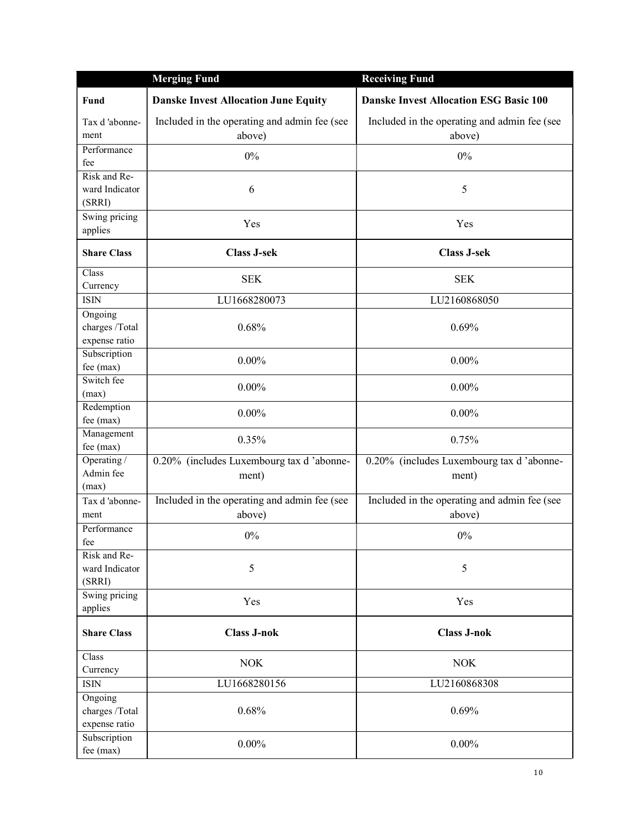|                                                | <b>Merging Fund</b>                                    | <b>Receiving Fund</b>                                  |
|------------------------------------------------|--------------------------------------------------------|--------------------------------------------------------|
| Fund                                           | <b>Danske Invest Allocation June Equity</b>            | <b>Danske Invest Allocation ESG Basic 100</b>          |
| Tax d'abonne-<br>ment                          | Included in the operating and admin fee (see<br>above) | Included in the operating and admin fee (see<br>above) |
| Performance                                    |                                                        |                                                        |
| fee                                            | $0\%$                                                  | $0\%$                                                  |
| Risk and Re-                                   |                                                        |                                                        |
| ward Indicator<br>(SRRI)                       | 6                                                      | 5                                                      |
| Swing pricing<br>applies                       | Yes                                                    | Yes                                                    |
| <b>Share Class</b>                             | <b>Class J-sek</b>                                     | <b>Class J-sek</b>                                     |
| Class<br>Currency                              | <b>SEK</b>                                             | <b>SEK</b>                                             |
| <b>ISIN</b>                                    | LU1668280073                                           | LU2160868050                                           |
| Ongoing<br>charges /Total<br>expense ratio     | 0.68%                                                  | 0.69%                                                  |
| Subscription<br>fee (max)                      | $0.00\%$                                               | $0.00\%$                                               |
| Switch fee<br>(max)                            | $0.00\%$                                               | $0.00\%$                                               |
| Redemption<br>fee (max)                        | $0.00\%$                                               | $0.00\%$                                               |
| Management<br>fee (max)                        | 0.35%                                                  | 0.75%                                                  |
| Operating $\overline{a}$<br>Admin fee<br>(max) | 0.20% (includes Luxembourg tax d'abonne-<br>ment)      | 0.20% (includes Luxembourg tax d'abonne-<br>ment)      |
| Tax d'abonne-<br>ment                          | Included in the operating and admin fee (see<br>above) | Included in the operating and admin fee (see<br>above) |
| Performance<br>tee                             | 0%                                                     | 0%                                                     |
| Risk and Re-<br>ward Indicator<br>(SRRI)       | 5                                                      | 5                                                      |
| Swing pricing<br>applies                       | Yes                                                    | Yes                                                    |
| <b>Share Class</b>                             | <b>Class J-nok</b>                                     | <b>Class J-nok</b>                                     |
| Class                                          | <b>NOK</b>                                             | <b>NOK</b>                                             |
| Currency                                       |                                                        |                                                        |
| <b>ISIN</b>                                    | LU1668280156                                           | LU2160868308                                           |
| Ongoing<br>charges /Total<br>expense ratio     | 0.68%                                                  | 0.69%                                                  |
| Subscription<br>fee (max)                      | $0.00\%$                                               | $0.00\%$                                               |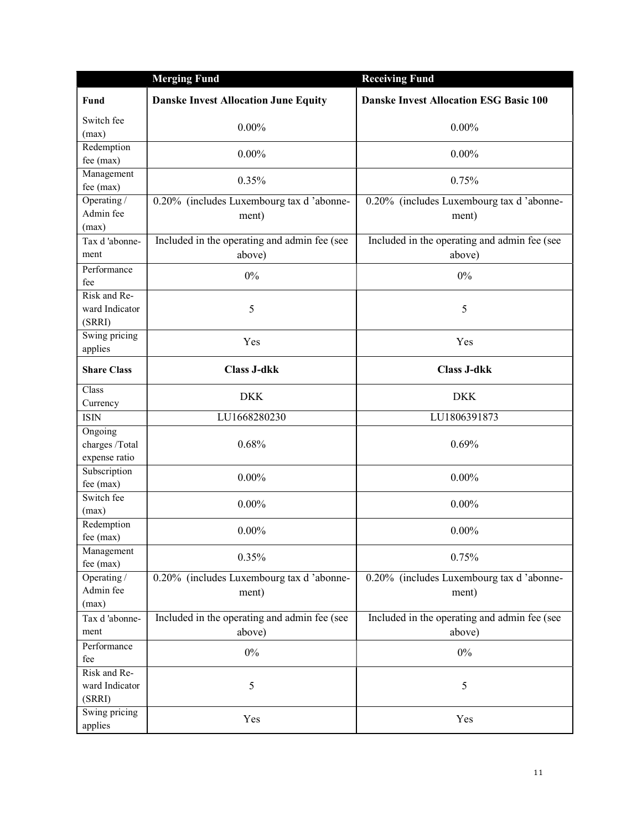|                                            | <b>Merging Fund</b>                                    | <b>Receiving Fund</b>                                  |
|--------------------------------------------|--------------------------------------------------------|--------------------------------------------------------|
| <b>Fund</b>                                | <b>Danske Invest Allocation June Equity</b>            | <b>Danske Invest Allocation ESG Basic 100</b>          |
| Switch fee<br>(max)                        | $0.00\%$                                               | $0.00\%$                                               |
| Redemption<br>fee (max)                    | $0.00\%$                                               | $0.00\%$                                               |
| Management<br>fee (max)                    | 0.35%                                                  | 0.75%                                                  |
| Operating /                                | 0.20% (includes Luxembourg tax d 'abonne-              | 0.20% (includes Luxembourg tax d'abonne-               |
| Admin fee<br>(max)                         | ment)                                                  | ment)                                                  |
| Tax d'abonne-<br>ment                      | Included in the operating and admin fee (see<br>above) | Included in the operating and admin fee (see<br>above) |
| Performance<br>fee                         | 0%                                                     | 0%                                                     |
| Risk and Re-<br>ward Indicator<br>(SRRI)   | 5                                                      | 5                                                      |
| Swing pricing<br>applies                   | Yes                                                    | Yes                                                    |
| <b>Share Class</b>                         | <b>Class J-dkk</b>                                     | <b>Class J-dkk</b>                                     |
| Class<br>Currency                          | <b>DKK</b>                                             | <b>DKK</b>                                             |
| <b>ISIN</b>                                | LU1668280230                                           | LU1806391873                                           |
| Ongoing<br>charges /Total<br>expense ratio | 0.68%                                                  | 0.69%                                                  |
| Subscription<br>fee (max)                  | $0.00\%$                                               | $0.00\%$                                               |
| Switch fee<br>(max)                        | $0.00\%$                                               | $0.00\%$                                               |
| Redemption<br>fee (max)                    | $0.00\%$                                               | $0.00\%$                                               |
| Management<br>fee (max)                    | 0.35%                                                  | 0.75%                                                  |
| Operating /<br>Admin fee<br>(max)          | 0.20% (includes Luxembourg tax d'abonne-<br>ment)      | 0.20% (includes Luxembourg tax d'abonne-<br>ment)      |
| Tax d'abonne-                              | Included in the operating and admin fee (see           | Included in the operating and admin fee (see           |
| ment                                       | above)                                                 | above)                                                 |
| Performance<br>fee                         | $0\%$                                                  | $0\%$                                                  |
| Risk and Re-<br>ward Indicator<br>(SRRI)   | 5                                                      | 5                                                      |
| Swing pricing<br>applies                   | Yes                                                    | Yes                                                    |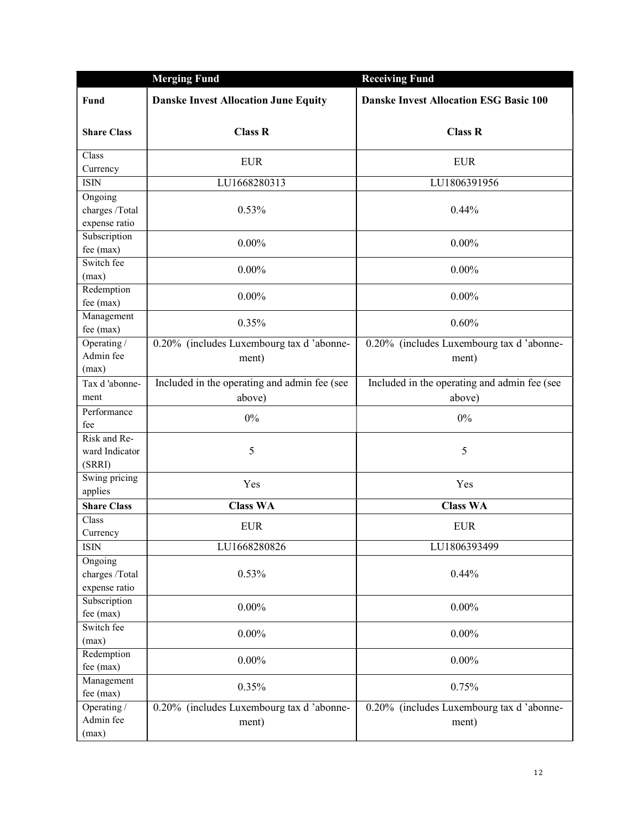|                               | <b>Merging Fund</b>                               | <b>Receiving Fund</b>                             |
|-------------------------------|---------------------------------------------------|---------------------------------------------------|
| Fund                          | <b>Danske Invest Allocation June Equity</b>       | <b>Danske Invest Allocation ESG Basic 100</b>     |
| <b>Share Class</b>            | <b>Class R</b>                                    | <b>Class R</b>                                    |
| Class<br>Currency             | <b>EUR</b>                                        | <b>EUR</b>                                        |
| <b>ISIN</b>                   | LU1668280313                                      | LU1806391956                                      |
| Ongoing                       |                                                   |                                                   |
| charges /Total                | 0.53%                                             | 0.44%                                             |
| expense ratio                 |                                                   |                                                   |
| Subscription                  | $0.00\%$                                          | $0.00\%$                                          |
| fee (max)                     |                                                   |                                                   |
| Switch fee<br>(max)           | $0.00\%$                                          | $0.00\%$                                          |
| Redemption                    |                                                   |                                                   |
| fee (max)                     | $0.00\%$                                          | $0.00\%$                                          |
| Management                    | 0.35%                                             | 0.60%                                             |
| fee (max)                     |                                                   |                                                   |
| Operating /                   | 0.20% (includes Luxembourg tax d'abonne-          | 0.20% (includes Luxembourg tax d 'abonne-         |
| Admin fee                     | ment)                                             | ment)                                             |
| (max)<br>Tax d'abonne-        | Included in the operating and admin fee (see      | Included in the operating and admin fee (see      |
| ment                          | above)                                            | above)                                            |
| Performance<br>fee            | 0%                                                | 0%                                                |
| Risk and Re-                  |                                                   |                                                   |
| ward Indicator                | 5                                                 | 5                                                 |
| (SRRI)                        |                                                   |                                                   |
| Swing pricing                 | Yes                                               | Yes                                               |
| applies<br><b>Share Class</b> | <b>Class WA</b>                                   | <b>Class WA</b>                                   |
| Class                         |                                                   |                                                   |
| Currency                      | <b>EUR</b>                                        | <b>EUR</b>                                        |
| <b>ISIN</b>                   | LU1668280826                                      | LU1806393499                                      |
| Ongoing                       |                                                   |                                                   |
| charges /Total                | 0.53%                                             | 0.44%                                             |
| expense ratio                 |                                                   |                                                   |
| Subscription                  | $0.00\%$                                          | $0.00\%$                                          |
| fee (max)<br>Switch fee       |                                                   |                                                   |
| (max)                         | $0.00\%$                                          | $0.00\%$                                          |
| Redemption                    |                                                   |                                                   |
| fee (max)                     | $0.00\%$                                          | $0.00\%$                                          |
| Management                    | 0.35%                                             | 0.75%                                             |
| fee (max)                     |                                                   |                                                   |
| Operating /                   |                                                   |                                                   |
| Admin fee                     | 0.20% (includes Luxembourg tax d'abonne-<br>ment) | 0.20% (includes Luxembourg tax d'abonne-<br>ment) |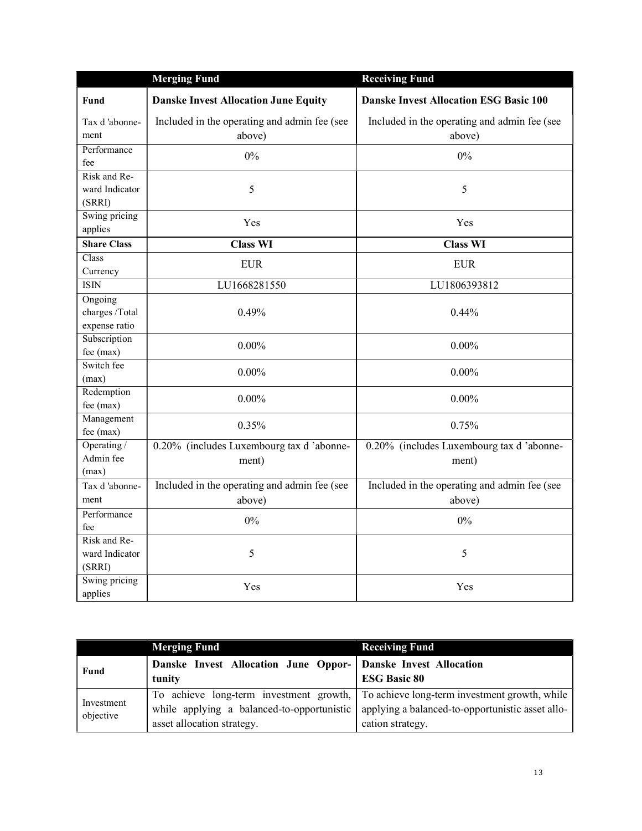|                                    | <b>Merging Fund</b>                          | <b>Receiving Fund</b>                         |
|------------------------------------|----------------------------------------------|-----------------------------------------------|
| Fund                               | <b>Danske Invest Allocation June Equity</b>  | <b>Danske Invest Allocation ESG Basic 100</b> |
| Tax d'abonne-                      | Included in the operating and admin fee (see | Included in the operating and admin fee (see  |
| ment                               | above)                                       | above)                                        |
| Performance                        | $0\%$                                        | $0\%$                                         |
| fee                                |                                              |                                               |
| Risk and Re-                       |                                              |                                               |
| ward Indicator                     | 5                                            | 5                                             |
| (SRRI)                             |                                              |                                               |
| Swing pricing                      | Yes                                          | Yes                                           |
| applies                            | <b>Class WI</b>                              | <b>Class WI</b>                               |
| <b>Share Class</b><br>Class        |                                              |                                               |
| Currency                           | <b>EUR</b>                                   | <b>EUR</b>                                    |
| <b>ISIN</b>                        | LU1668281550                                 | LU1806393812                                  |
| Ongoing                            |                                              |                                               |
| charges /Total                     | 0.49%                                        | 0.44%                                         |
| expense ratio                      |                                              |                                               |
| Subscription                       |                                              |                                               |
| fee (max)                          | $0.00\%$                                     | $0.00\%$                                      |
| Switch fee                         | $0.00\%$                                     | $0.00\%$                                      |
| (max)                              |                                              |                                               |
| Redemption                         | $0.00\%$                                     | $0.00\%$                                      |
| fee (max)                          |                                              |                                               |
| Management<br>fee (max)            | 0.35%                                        | 0.75%                                         |
| Operating $\overline{\phantom{a}}$ | 0.20% (includes Luxembourg tax d'abonne-     | 0.20% (includes Luxembourg tax d'abonne-      |
| Admin fee                          | ment)                                        | ment)                                         |
| (max)                              |                                              |                                               |
| Tax d'abonne-                      | Included in the operating and admin fee (see | Included in the operating and admin fee (see  |
| ment                               | above)                                       | above)                                        |
| Performance                        |                                              |                                               |
| fee                                | $0\%$                                        | $0\%$                                         |
| Risk and Re-                       |                                              |                                               |
| ward Indicator                     | 5                                            | 5                                             |
| (SRRI)                             |                                              |                                               |
| Swing pricing                      | Yes                                          | Yes                                           |
| applies                            |                                              |                                               |

|                         | <b>Merging Fund</b>                                                       | <b>Receiving Fund</b>                                                                                                                                                                                    |
|-------------------------|---------------------------------------------------------------------------|----------------------------------------------------------------------------------------------------------------------------------------------------------------------------------------------------------|
| Fund                    | Danske Invest Allocation June Oppor-   Danske Invest Allocation<br>tunity | <b>ESG Basic 80</b>                                                                                                                                                                                      |
| Investment<br>objective | asset allocation strategy.                                                | To achieve long-term investment growth, To achieve long-term investment growth, while<br>while applying a balanced-to-opportunistic applying a balanced-to-opportunistic asset allo-<br>cation strategy. |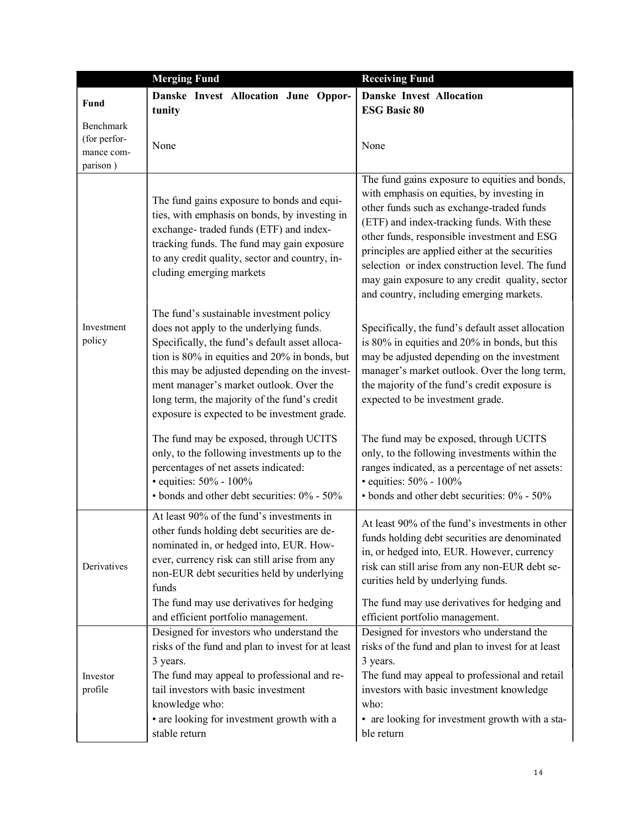|                                                     | <b>Merging Fund</b>                                                                                                                                                                                                                                                                                                                                                                | <b>Receiving Fund</b>                                                                                                                                                                                                                                                                                                                                                                                                                       |
|-----------------------------------------------------|------------------------------------------------------------------------------------------------------------------------------------------------------------------------------------------------------------------------------------------------------------------------------------------------------------------------------------------------------------------------------------|---------------------------------------------------------------------------------------------------------------------------------------------------------------------------------------------------------------------------------------------------------------------------------------------------------------------------------------------------------------------------------------------------------------------------------------------|
| <b>Fund</b>                                         | Danske Invest Allocation June Oppor-                                                                                                                                                                                                                                                                                                                                               | <b>Danske Invest Allocation</b>                                                                                                                                                                                                                                                                                                                                                                                                             |
|                                                     | tunity                                                                                                                                                                                                                                                                                                                                                                             | <b>ESG Basic 80</b>                                                                                                                                                                                                                                                                                                                                                                                                                         |
| Benchmark<br>(for perfor-<br>mance com-<br>parison) | None                                                                                                                                                                                                                                                                                                                                                                               | None                                                                                                                                                                                                                                                                                                                                                                                                                                        |
|                                                     | The fund gains exposure to bonds and equi-<br>ties, with emphasis on bonds, by investing in<br>exchange-traded funds (ETF) and index-<br>tracking funds. The fund may gain exposure<br>to any credit quality, sector and country, in-<br>cluding emerging markets                                                                                                                  | The fund gains exposure to equities and bonds,<br>with emphasis on equities, by investing in<br>other funds such as exchange-traded funds<br>(ETF) and index-tracking funds. With these<br>other funds, responsible investment and ESG<br>principles are applied either at the securities<br>selection or index construction level. The fund<br>may gain exposure to any credit quality, sector<br>and country, including emerging markets. |
| Investment<br>policy                                | The fund's sustainable investment policy<br>does not apply to the underlying funds.<br>Specifically, the fund's default asset alloca-<br>tion is 80% in equities and 20% in bonds, but<br>this may be adjusted depending on the invest-<br>ment manager's market outlook. Over the<br>long term, the majority of the fund's credit<br>exposure is expected to be investment grade. | Specifically, the fund's default asset allocation<br>is 80% in equities and 20% in bonds, but this<br>may be adjusted depending on the investment<br>manager's market outlook. Over the long term,<br>the majority of the fund's credit exposure is<br>expected to be investment grade.                                                                                                                                                     |
|                                                     | The fund may be exposed, through UCITS<br>only, to the following investments up to the<br>percentages of net assets indicated:<br>· equities: 50% - 100%<br>• bonds and other debt securities: 0% - 50%                                                                                                                                                                            | The fund may be exposed, through UCITS<br>only, to the following investments within the<br>ranges indicated, as a percentage of net assets:<br>· equities: 50% - 100%<br>• bonds and other debt securities: 0% - 50%                                                                                                                                                                                                                        |
| Derivatives                                         | At least 90% of the fund's investments in<br>other funds holding debt securities are de-<br>nominated in, or hedged into, EUR. How-<br>ever, currency risk can still arise from any<br>non-EUR debt securities held by underlying<br>funds                                                                                                                                         | At least 90% of the fund's investments in other<br>funds holding debt securities are denominated<br>in, or hedged into, EUR. However, currency<br>risk can still arise from any non-EUR debt se-<br>curities held by underlying funds.                                                                                                                                                                                                      |
|                                                     | The fund may use derivatives for hedging<br>and efficient portfolio management.                                                                                                                                                                                                                                                                                                    | The fund may use derivatives for hedging and<br>efficient portfolio management.                                                                                                                                                                                                                                                                                                                                                             |
| Investor                                            | Designed for investors who understand the<br>risks of the fund and plan to invest for at least<br>3 years.<br>The fund may appeal to professional and re-                                                                                                                                                                                                                          | Designed for investors who understand the<br>risks of the fund and plan to invest for at least<br>3 years.<br>The fund may appeal to professional and retail                                                                                                                                                                                                                                                                                |
| profile                                             | tail investors with basic investment<br>knowledge who:                                                                                                                                                                                                                                                                                                                             | investors with basic investment knowledge<br>who:                                                                                                                                                                                                                                                                                                                                                                                           |
|                                                     | • are looking for investment growth with a<br>stable return                                                                                                                                                                                                                                                                                                                        | • are looking for investment growth with a sta-<br>ble return                                                                                                                                                                                                                                                                                                                                                                               |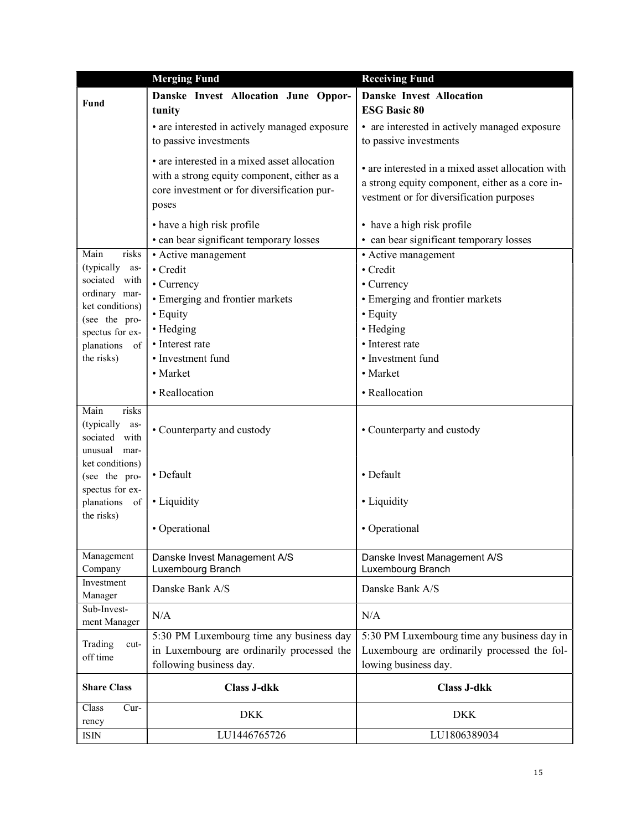|                                  | <b>Merging Fund</b>                           | <b>Receiving Fund</b>                             |
|----------------------------------|-----------------------------------------------|---------------------------------------------------|
| Fund                             | Danske Invest Allocation June Oppor-          | <b>Danske Invest Allocation</b>                   |
|                                  | tunity                                        | <b>ESG Basic 80</b>                               |
|                                  | • are interested in actively managed exposure | • are interested in actively managed exposure     |
|                                  | to passive investments                        | to passive investments                            |
|                                  | • are interested in a mixed asset allocation  | • are interested in a mixed asset allocation with |
|                                  | with a strong equity component, either as a   | a strong equity component, either as a core in-   |
|                                  | core investment or for diversification pur-   | vestment or for diversification purposes          |
|                                  | poses                                         |                                                   |
|                                  | • have a high risk profile                    | • have a high risk profile                        |
|                                  | • can bear significant temporary losses       | • can bear significant temporary losses           |
| Main<br>risks                    | • Active management                           | • Active management                               |
| (typically<br>as-                | • Credit                                      | • Credit                                          |
| sociated with                    | • Currency                                    | • Currency                                        |
| ordinary mar-<br>ket conditions) | • Emerging and frontier markets               | • Emerging and frontier markets                   |
| (see the pro-                    | • Equity                                      | • Equity                                          |
| spectus for ex-                  | • Hedging                                     | • Hedging                                         |
| planations of                    | • Interest rate                               | • Interest rate                                   |
| the risks)                       | • Investment fund                             | • Investment fund                                 |
|                                  | • Market                                      | • Market                                          |
|                                  | • Reallocation                                | • Reallocation                                    |
| Main<br>risks                    |                                               |                                                   |
| (typically<br>as-                | • Counterparty and custody                    | • Counterparty and custody                        |
| sociated with                    |                                               |                                                   |
| unusual mar-                     |                                               |                                                   |
| ket conditions)<br>(see the pro- | • Default                                     | • Default                                         |
| spectus for ex-                  |                                               |                                                   |
| planations of                    | • Liquidity                                   | • Liquidity                                       |
| the risks)                       |                                               |                                                   |
|                                  | • Operational                                 | • Operational                                     |
|                                  |                                               |                                                   |
| Management                       | Danske Invest Management A/S                  | Danske Invest Management A/S                      |
| Company<br>Investment            | Luxembourg Branch                             | Luxembourg Branch                                 |
| Manager                          | Danske Bank A/S                               | Danske Bank A/S                                   |
| Sub-Invest-                      | N/A                                           | N/A                                               |
| ment Manager                     |                                               |                                                   |
| Trading<br>cut-                  | 5:30 PM Luxembourg time any business day      | 5:30 PM Luxembourg time any business day in       |
| off time                         | in Luxembourg are ordinarily processed the    | Luxembourg are ordinarily processed the fol-      |
|                                  | following business day.                       | lowing business day.                              |
| <b>Share Class</b>               | <b>Class J-dkk</b>                            | <b>Class J-dkk</b>                                |
| Class<br>Cur-                    | <b>DKK</b>                                    | <b>DKK</b>                                        |
| rency                            |                                               |                                                   |
| ISIN                             | LU1446765726                                  | LU1806389034                                      |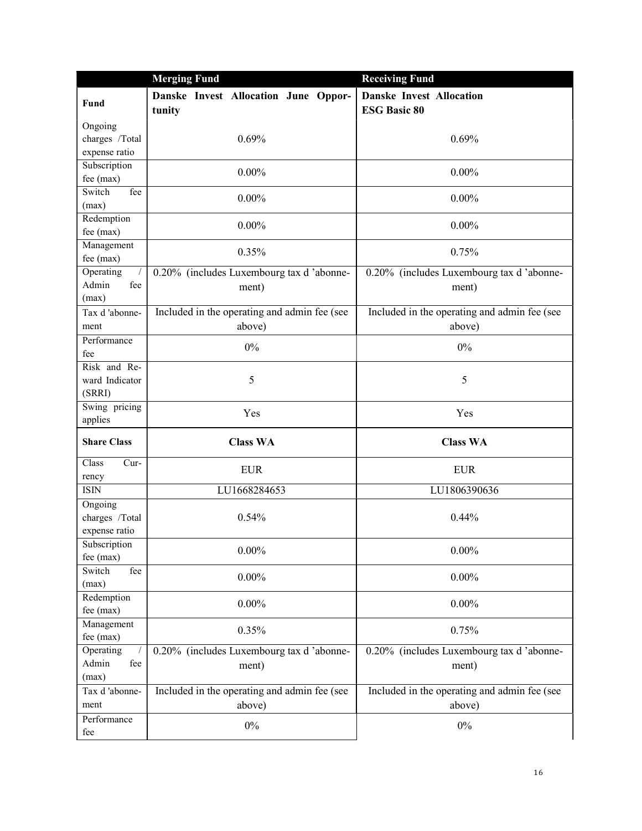|                    | <b>Merging Fund</b>                            | <b>Receiving Fund</b>                                  |
|--------------------|------------------------------------------------|--------------------------------------------------------|
| <b>Fund</b>        | Danske Invest Allocation June Oppor-<br>tunity | <b>Danske Invest Allocation</b><br><b>ESG Basic 80</b> |
| Ongoing            |                                                |                                                        |
| charges /Total     | 0.69%                                          | 0.69%                                                  |
| expense ratio      |                                                |                                                        |
| Subscription       | $0.00\%$                                       | $0.00\%$                                               |
| fee (max)          |                                                |                                                        |
| Switch<br>fee      | $0.00\%$                                       | $0.00\%$                                               |
| (max)              |                                                |                                                        |
| Redemption         | $0.00\%$                                       | $0.00\%$                                               |
| fee (max)          |                                                |                                                        |
| Management         | 0.35%                                          | 0.75%                                                  |
| fee (max)          |                                                |                                                        |
| Operating          | 0.20% (includes Luxembourg tax d'abonne-       | 0.20% (includes Luxembourg tax d'abonne-               |
| Admin<br>fee       | ment)                                          | ment)                                                  |
| (max)              |                                                |                                                        |
| Tax d'abonne-      | Included in the operating and admin fee (see   | Included in the operating and admin fee (see           |
| ment               | above)                                         | above)                                                 |
| Performance        | 0%                                             | $0\%$                                                  |
| fee                |                                                |                                                        |
| Risk and Re-       |                                                |                                                        |
| ward Indicator     | 5                                              | 5                                                      |
| (SRRI)             |                                                |                                                        |
| Swing pricing      | Yes                                            | Yes                                                    |
| applies            |                                                |                                                        |
| <b>Share Class</b> | <b>Class WA</b>                                | <b>Class WA</b>                                        |
| Class<br>Cur-      | <b>EUR</b>                                     | <b>EUR</b>                                             |
| rency              |                                                |                                                        |
| <b>ISIN</b>        | LU1668284653                                   | LU1806390636                                           |
| Ongoing            |                                                |                                                        |
| charges /Total     | 0.54%                                          | 0.44%                                                  |
| expense ratio      |                                                |                                                        |
| Subscription       | $0.00\%$                                       | $0.00\%$                                               |
| fee (max)          |                                                |                                                        |
| Switch<br>fee      | $0.00\%$                                       | $0.00\%$                                               |
| (max)              |                                                |                                                        |
| Redemption         | $0.00\%$                                       | $0.00\%$                                               |
| fee (max)          |                                                |                                                        |
| Management         | 0.35%                                          | 0.75%                                                  |
| fee $(max)$        |                                                |                                                        |
| Operating          | 0.20% (includes Luxembourg tax d'abonne-       | 0.20% (includes Luxembourg tax d'abonne-               |
| Admin<br>fee       | ment)                                          | ment)                                                  |
| (max)              |                                                |                                                        |
| Tax d'abonne-      | Included in the operating and admin fee (see   | Included in the operating and admin fee (see           |
| ment               | above)                                         | above)                                                 |
| Performance        |                                                |                                                        |
| fee                | $0\%$                                          | $0\%$                                                  |
|                    |                                                |                                                        |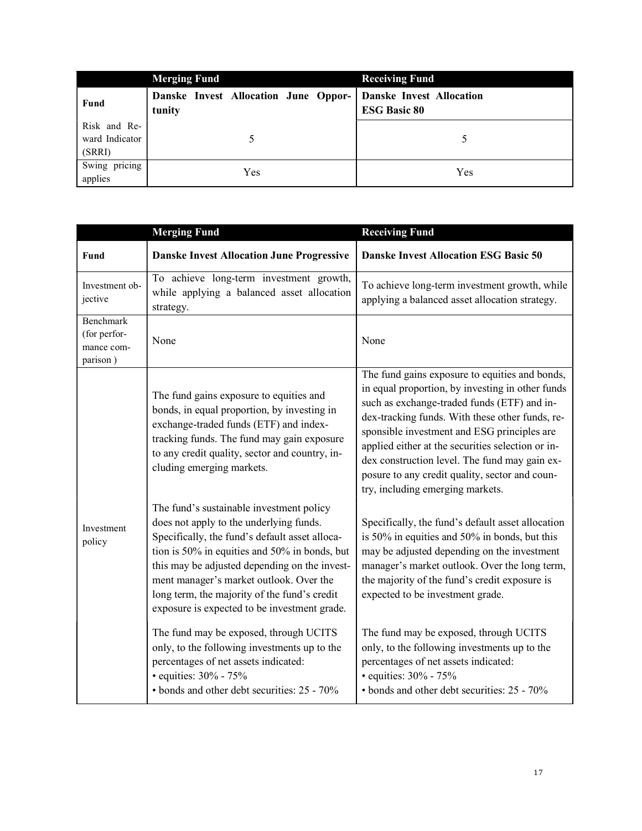|                                          | <b>Merging Fund</b>                            | <b>Receiving Fund</b>                                  |
|------------------------------------------|------------------------------------------------|--------------------------------------------------------|
| Fund                                     | Danske Invest Allocation June Oppor-<br>tunity | <b>Danske Invest Allocation</b><br><b>ESG Basic 80</b> |
| Risk and Re-<br>ward Indicator<br>(SRRI) |                                                |                                                        |
| Swing pricing<br>applies                 | Yes                                            | Yes                                                    |

|                                                     | <b>Merging Fund</b>                                                                                                                                                                                                                                                                                                                                                                | <b>Receiving Fund</b>                                                                                                                                                                                                                                                                                                                                                                                                                           |
|-----------------------------------------------------|------------------------------------------------------------------------------------------------------------------------------------------------------------------------------------------------------------------------------------------------------------------------------------------------------------------------------------------------------------------------------------|-------------------------------------------------------------------------------------------------------------------------------------------------------------------------------------------------------------------------------------------------------------------------------------------------------------------------------------------------------------------------------------------------------------------------------------------------|
| Fund                                                | <b>Danske Invest Allocation June Progressive</b>                                                                                                                                                                                                                                                                                                                                   | <b>Danske Invest Allocation ESG Basic 50</b>                                                                                                                                                                                                                                                                                                                                                                                                    |
| Investment ob-<br>jective                           | To achieve long-term investment growth,<br>while applying a balanced asset allocation<br>strategy.                                                                                                                                                                                                                                                                                 | To achieve long-term investment growth, while<br>applying a balanced asset allocation strategy.                                                                                                                                                                                                                                                                                                                                                 |
| Benchmark<br>(for perfor-<br>mance com-<br>parison) | None                                                                                                                                                                                                                                                                                                                                                                               | None                                                                                                                                                                                                                                                                                                                                                                                                                                            |
|                                                     | The fund gains exposure to equities and<br>bonds, in equal proportion, by investing in<br>exchange-traded funds (ETF) and index-<br>tracking funds. The fund may gain exposure<br>to any credit quality, sector and country, in-<br>cluding emerging markets.                                                                                                                      | The fund gains exposure to equities and bonds,<br>in equal proportion, by investing in other funds<br>such as exchange-traded funds (ETF) and in-<br>dex-tracking funds. With these other funds, re-<br>sponsible investment and ESG principles are<br>applied either at the securities selection or in-<br>dex construction level. The fund may gain ex-<br>posure to any credit quality, sector and coun-<br>try, including emerging markets. |
| Investment<br>policy                                | The fund's sustainable investment policy<br>does not apply to the underlying funds.<br>Specifically, the fund's default asset alloca-<br>tion is 50% in equities and 50% in bonds, but<br>this may be adjusted depending on the invest-<br>ment manager's market outlook. Over the<br>long term, the majority of the fund's credit<br>exposure is expected to be investment grade. | Specifically, the fund's default asset allocation<br>is 50% in equities and 50% in bonds, but this<br>may be adjusted depending on the investment<br>manager's market outlook. Over the long term,<br>the majority of the fund's credit exposure is<br>expected to be investment grade.                                                                                                                                                         |
|                                                     | The fund may be exposed, through UCITS<br>only, to the following investments up to the<br>percentages of net assets indicated:<br>· equities: 30% - 75%<br>• bonds and other debt securities: 25 - 70%                                                                                                                                                                             | The fund may be exposed, through UCITS<br>only, to the following investments up to the<br>percentages of net assets indicated:<br>• equities: 30% - 75%<br>• bonds and other debt securities: 25 - 70%                                                                                                                                                                                                                                          |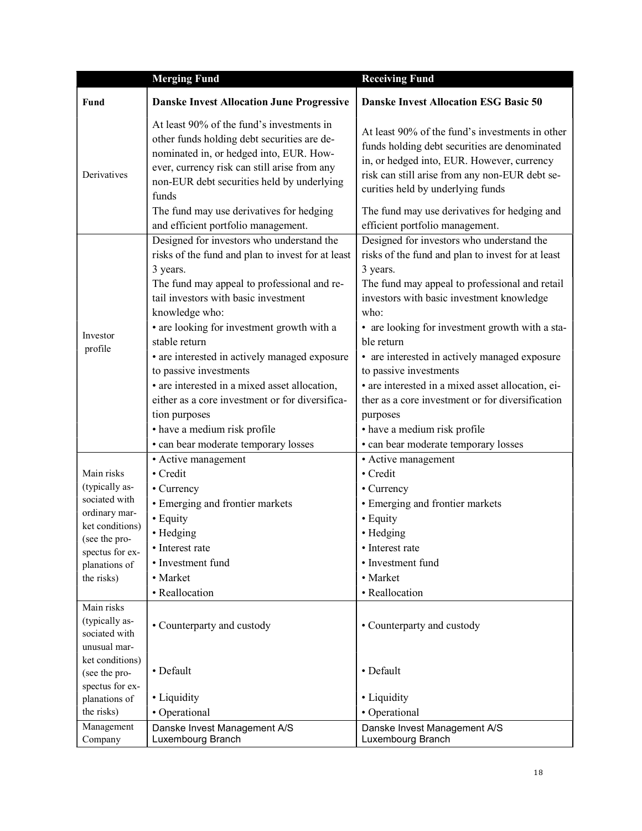|                                  | <b>Merging Fund</b>                                                                                                                                                                                                                                                                    | <b>Receiving Fund</b>                                                                                                                                                                                                                                                                 |
|----------------------------------|----------------------------------------------------------------------------------------------------------------------------------------------------------------------------------------------------------------------------------------------------------------------------------------|---------------------------------------------------------------------------------------------------------------------------------------------------------------------------------------------------------------------------------------------------------------------------------------|
| Fund                             | <b>Danske Invest Allocation June Progressive</b>                                                                                                                                                                                                                                       | <b>Danske Invest Allocation ESG Basic 50</b>                                                                                                                                                                                                                                          |
| Derivatives                      | At least 90% of the fund's investments in<br>other funds holding debt securities are de-<br>nominated in, or hedged into, EUR. How-<br>ever, currency risk can still arise from any<br>non-EUR debt securities held by underlying<br>funds<br>The fund may use derivatives for hedging | At least 90% of the fund's investments in other<br>funds holding debt securities are denominated<br>in, or hedged into, EUR. However, currency<br>risk can still arise from any non-EUR debt se-<br>curities held by underlying funds<br>The fund may use derivatives for hedging and |
|                                  | and efficient portfolio management.<br>Designed for investors who understand the                                                                                                                                                                                                       | efficient portfolio management.<br>Designed for investors who understand the                                                                                                                                                                                                          |
|                                  | risks of the fund and plan to invest for at least<br>3 years.<br>The fund may appeal to professional and re-<br>tail investors with basic investment                                                                                                                                   | risks of the fund and plan to invest for at least<br>3 years.<br>The fund may appeal to professional and retail<br>investors with basic investment knowledge                                                                                                                          |
| Investor<br>profile              | knowledge who:<br>• are looking for investment growth with a<br>stable return                                                                                                                                                                                                          | who:<br>• are looking for investment growth with a sta-<br>ble return                                                                                                                                                                                                                 |
|                                  | • are interested in actively managed exposure                                                                                                                                                                                                                                          | • are interested in actively managed exposure                                                                                                                                                                                                                                         |
|                                  | to passive investments                                                                                                                                                                                                                                                                 | to passive investments                                                                                                                                                                                                                                                                |
|                                  | • are interested in a mixed asset allocation,                                                                                                                                                                                                                                          | • are interested in a mixed asset allocation, ei-                                                                                                                                                                                                                                     |
|                                  | either as a core investment or for diversifica-                                                                                                                                                                                                                                        | ther as a core investment or for diversification                                                                                                                                                                                                                                      |
|                                  | tion purposes                                                                                                                                                                                                                                                                          | purposes                                                                                                                                                                                                                                                                              |
|                                  | • have a medium risk profile                                                                                                                                                                                                                                                           | • have a medium risk profile                                                                                                                                                                                                                                                          |
|                                  | · can bear moderate temporary losses                                                                                                                                                                                                                                                   | · can bear moderate temporary losses                                                                                                                                                                                                                                                  |
|                                  | • Active management                                                                                                                                                                                                                                                                    | • Active management                                                                                                                                                                                                                                                                   |
| Main risks<br>(typically as-     | • Credit                                                                                                                                                                                                                                                                               | • Credit                                                                                                                                                                                                                                                                              |
| sociated with                    | • Currency                                                                                                                                                                                                                                                                             | • Currency                                                                                                                                                                                                                                                                            |
| ordinary mar-                    | • Emerging and frontier markets                                                                                                                                                                                                                                                        | • Emerging and frontier markets                                                                                                                                                                                                                                                       |
| ket conditions)                  | • Equity                                                                                                                                                                                                                                                                               | • Equity                                                                                                                                                                                                                                                                              |
| (see the pro-                    | · Hedging<br>• Interest rate                                                                                                                                                                                                                                                           | • Hedging<br>• Interest rate                                                                                                                                                                                                                                                          |
| spectus for ex-                  | • Investment fund                                                                                                                                                                                                                                                                      | • Investment fund                                                                                                                                                                                                                                                                     |
| planations of<br>the risks)      | • Market                                                                                                                                                                                                                                                                               | • Market                                                                                                                                                                                                                                                                              |
|                                  | • Reallocation                                                                                                                                                                                                                                                                         | • Reallocation                                                                                                                                                                                                                                                                        |
| Main risks                       |                                                                                                                                                                                                                                                                                        |                                                                                                                                                                                                                                                                                       |
| (typically as-<br>sociated with  | • Counterparty and custody                                                                                                                                                                                                                                                             | • Counterparty and custody                                                                                                                                                                                                                                                            |
| unusual mar-                     |                                                                                                                                                                                                                                                                                        |                                                                                                                                                                                                                                                                                       |
| ket conditions)<br>(see the pro- | • Default                                                                                                                                                                                                                                                                              | • Default                                                                                                                                                                                                                                                                             |
| spectus for ex-                  |                                                                                                                                                                                                                                                                                        |                                                                                                                                                                                                                                                                                       |
| planations of                    | • Liquidity                                                                                                                                                                                                                                                                            | • Liquidity                                                                                                                                                                                                                                                                           |
| the risks)                       | • Operational                                                                                                                                                                                                                                                                          | • Operational                                                                                                                                                                                                                                                                         |
| Management                       | Danske Invest Management A/S                                                                                                                                                                                                                                                           | Danske Invest Management A/S                                                                                                                                                                                                                                                          |
| Company                          | Luxembourg Branch                                                                                                                                                                                                                                                                      | Luxembourg Branch                                                                                                                                                                                                                                                                     |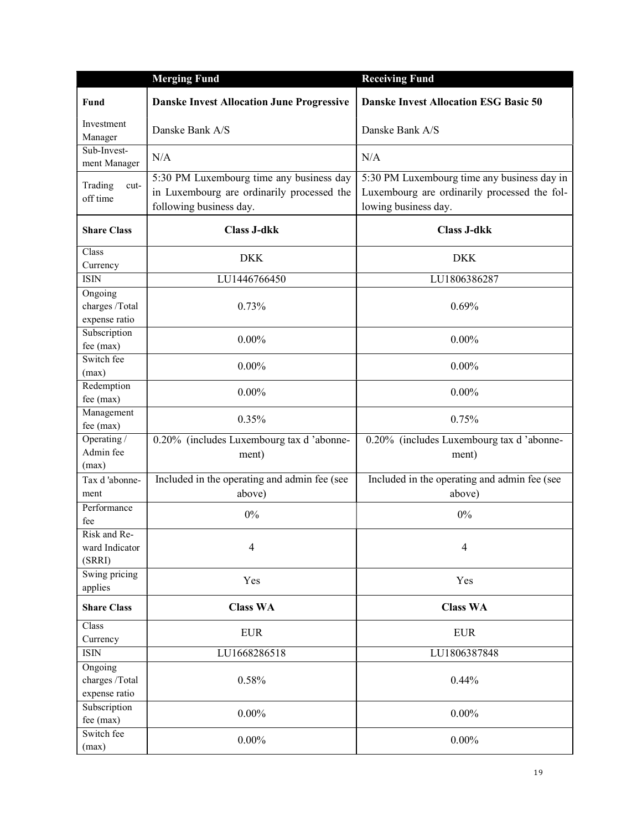|                                            | <b>Merging Fund</b>                                                                                               | <b>Receiving Fund</b>                                                                                               |
|--------------------------------------------|-------------------------------------------------------------------------------------------------------------------|---------------------------------------------------------------------------------------------------------------------|
| <b>Fund</b>                                | <b>Danske Invest Allocation June Progressive</b>                                                                  | <b>Danske Invest Allocation ESG Basic 50</b>                                                                        |
| Investment<br>Manager                      | Danske Bank A/S                                                                                                   | Danske Bank A/S                                                                                                     |
| Sub-Invest-<br>ment Manager                | N/A                                                                                                               | N/A                                                                                                                 |
| Trading<br>cut-<br>off time                | 5:30 PM Luxembourg time any business day<br>in Luxembourg are ordinarily processed the<br>following business day. | 5:30 PM Luxembourg time any business day in<br>Luxembourg are ordinarily processed the fol-<br>lowing business day. |
| <b>Share Class</b>                         | <b>Class J-dkk</b>                                                                                                | <b>Class J-dkk</b>                                                                                                  |
| Class<br>Currency                          | <b>DKK</b>                                                                                                        | <b>DKK</b>                                                                                                          |
| <b>ISIN</b>                                | LU1446766450                                                                                                      | LU1806386287                                                                                                        |
| Ongoing<br>charges /Total<br>expense ratio | 0.73%                                                                                                             | 0.69%                                                                                                               |
| Subscription<br>fee (max)                  | $0.00\%$                                                                                                          | $0.00\%$                                                                                                            |
| Switch fee<br>(max)                        | $0.00\%$                                                                                                          | $0.00\%$                                                                                                            |
| Redemption<br>fee (max)                    | $0.00\%$                                                                                                          | $0.00\%$                                                                                                            |
| Management<br>fee (max)                    | 0.35%                                                                                                             | 0.75%                                                                                                               |
| Operating /<br>Admin fee<br>(max)          | 0.20% (includes Luxembourg tax d'abonne-<br>ment)                                                                 | 0.20% (includes Luxembourg tax d'abonne-<br>ment)                                                                   |
| Tax d'abonne-<br>ment                      | Included in the operating and admin fee (see<br>above)                                                            | Included in the operating and admin fee (see<br>above)                                                              |
| Performance<br>fee                         | 0%                                                                                                                | $0\%$                                                                                                               |
| Risk and Re-<br>ward Indicator<br>(SRRI)   | 4                                                                                                                 | $\overline{4}$                                                                                                      |
| Swing pricing<br>applies                   | Yes                                                                                                               | Yes                                                                                                                 |
| <b>Share Class</b>                         | <b>Class WA</b>                                                                                                   | <b>Class WA</b>                                                                                                     |
| Class<br>Currency                          | <b>EUR</b>                                                                                                        | <b>EUR</b>                                                                                                          |
| <b>ISIN</b>                                | LU1668286518                                                                                                      | LU1806387848                                                                                                        |
| Ongoing<br>charges /Total<br>expense ratio | 0.58%                                                                                                             | 0.44%                                                                                                               |
| Subscription<br>fee (max)                  | $0.00\%$                                                                                                          | $0.00\%$                                                                                                            |
| Switch fee<br>(max)                        | $0.00\%$                                                                                                          | $0.00\%$                                                                                                            |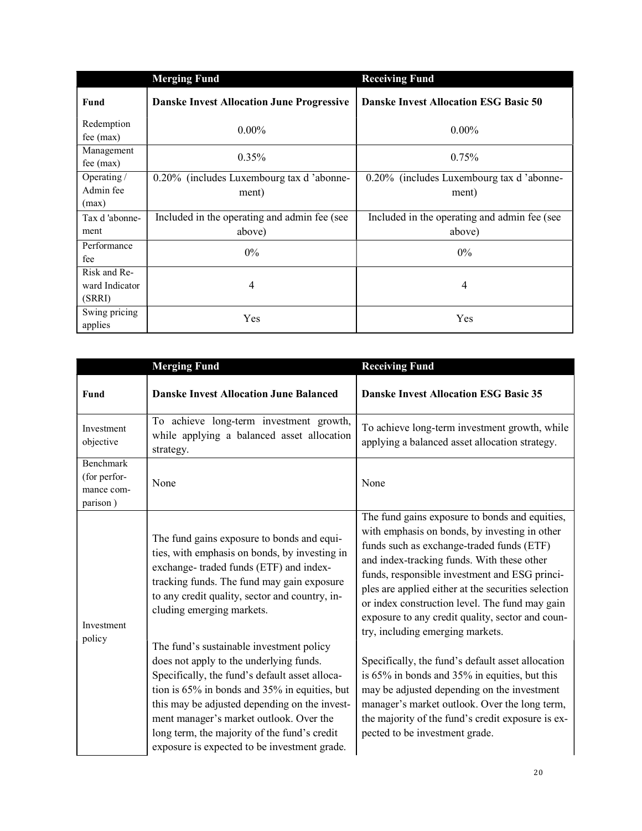|                                          | <b>Merging Fund</b>                                    | <b>Receiving Fund</b>                                  |
|------------------------------------------|--------------------------------------------------------|--------------------------------------------------------|
| Fund                                     | <b>Danske Invest Allocation June Progressive</b>       | <b>Danske Invest Allocation ESG Basic 50</b>           |
| Redemption<br>$fee$ (max)                | $0.00\%$                                               | $0.00\%$                                               |
| Management<br>$fee$ (max)                | 0.35%                                                  | 0.75%                                                  |
| Operating /<br>Admin fee<br>(max)        | 0.20% (includes Luxembourg tax d'abonne-<br>ment)      | 0.20% (includes Luxembourg tax d'abonne-<br>ment)      |
| Tax d'abonne-<br>ment                    | Included in the operating and admin fee (see<br>above) | Included in the operating and admin fee (see<br>above) |
| Performance<br>fee                       | $0\%$                                                  | $0\%$                                                  |
| Risk and Re-<br>ward Indicator<br>(SRRI) | 4                                                      | 4                                                      |
| Swing pricing<br>applies                 | Yes                                                    | Yes                                                    |

|                                                     | <b>Merging Fund</b>                                                                                                                                                                                                                                                                                                                                                                | <b>Receiving Fund</b>                                                                                                                                                                                                                                                                                                                                                                                                                        |
|-----------------------------------------------------|------------------------------------------------------------------------------------------------------------------------------------------------------------------------------------------------------------------------------------------------------------------------------------------------------------------------------------------------------------------------------------|----------------------------------------------------------------------------------------------------------------------------------------------------------------------------------------------------------------------------------------------------------------------------------------------------------------------------------------------------------------------------------------------------------------------------------------------|
| Fund                                                | <b>Danske Invest Allocation June Balanced</b>                                                                                                                                                                                                                                                                                                                                      | <b>Danske Invest Allocation ESG Basic 35</b>                                                                                                                                                                                                                                                                                                                                                                                                 |
| Investment<br>objective                             | To achieve long-term investment growth,<br>while applying a balanced asset allocation<br>strategy.                                                                                                                                                                                                                                                                                 | To achieve long-term investment growth, while<br>applying a balanced asset allocation strategy.                                                                                                                                                                                                                                                                                                                                              |
| Benchmark<br>(for perfor-<br>mance com-<br>parison) | None                                                                                                                                                                                                                                                                                                                                                                               | None                                                                                                                                                                                                                                                                                                                                                                                                                                         |
| Investment<br>policy                                | The fund gains exposure to bonds and equi-<br>ties, with emphasis on bonds, by investing in<br>exchange-traded funds (ETF) and index-<br>tracking funds. The fund may gain exposure<br>to any credit quality, sector and country, in-<br>cluding emerging markets.                                                                                                                 | The fund gains exposure to bonds and equities,<br>with emphasis on bonds, by investing in other<br>funds such as exchange-traded funds (ETF)<br>and index-tracking funds. With these other<br>funds, responsible investment and ESG princi-<br>ples are applied either at the securities selection<br>or index construction level. The fund may gain<br>exposure to any credit quality, sector and coun-<br>try, including emerging markets. |
|                                                     | The fund's sustainable investment policy<br>does not apply to the underlying funds.<br>Specifically, the fund's default asset alloca-<br>tion is 65% in bonds and 35% in equities, but<br>this may be adjusted depending on the invest-<br>ment manager's market outlook. Over the<br>long term, the majority of the fund's credit<br>exposure is expected to be investment grade. | Specifically, the fund's default asset allocation<br>is 65% in bonds and 35% in equities, but this<br>may be adjusted depending on the investment<br>manager's market outlook. Over the long term,<br>the majority of the fund's credit exposure is ex-<br>pected to be investment grade.                                                                                                                                                    |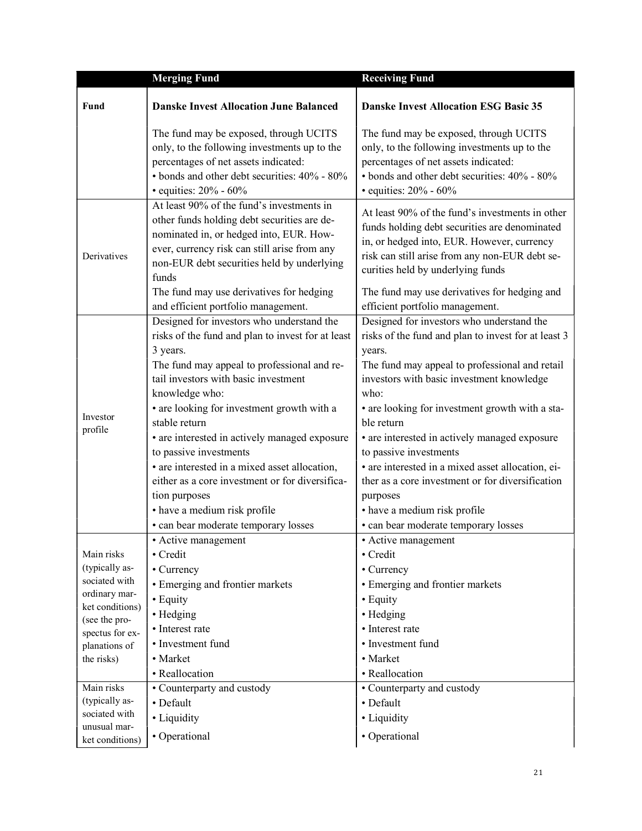|                                                                                                                                                                    | <b>Merging Fund</b>                                                                                                                                                                                                                                                                                                                                                                                                                                                                                                                                        | <b>Receiving Fund</b>                                                                                                                                                                                                                                                                                                                                                                                                                                                                                                                                      |
|--------------------------------------------------------------------------------------------------------------------------------------------------------------------|------------------------------------------------------------------------------------------------------------------------------------------------------------------------------------------------------------------------------------------------------------------------------------------------------------------------------------------------------------------------------------------------------------------------------------------------------------------------------------------------------------------------------------------------------------|------------------------------------------------------------------------------------------------------------------------------------------------------------------------------------------------------------------------------------------------------------------------------------------------------------------------------------------------------------------------------------------------------------------------------------------------------------------------------------------------------------------------------------------------------------|
| Fund                                                                                                                                                               | <b>Danske Invest Allocation June Balanced</b>                                                                                                                                                                                                                                                                                                                                                                                                                                                                                                              | <b>Danske Invest Allocation ESG Basic 35</b>                                                                                                                                                                                                                                                                                                                                                                                                                                                                                                               |
|                                                                                                                                                                    | The fund may be exposed, through UCITS<br>only, to the following investments up to the<br>percentages of net assets indicated:<br>• bonds and other debt securities: 40% - 80%<br>• equities: $20\%$ - $60\%$                                                                                                                                                                                                                                                                                                                                              | The fund may be exposed, through UCITS<br>only, to the following investments up to the<br>percentages of net assets indicated:<br>• bonds and other debt securities: 40% - 80%<br>• equities: $20\%$ - $60\%$                                                                                                                                                                                                                                                                                                                                              |
| Derivatives                                                                                                                                                        | At least 90% of the fund's investments in<br>other funds holding debt securities are de-<br>nominated in, or hedged into, EUR. How-<br>ever, currency risk can still arise from any<br>non-EUR debt securities held by underlying<br>funds                                                                                                                                                                                                                                                                                                                 | At least 90% of the fund's investments in other<br>funds holding debt securities are denominated<br>in, or hedged into, EUR. However, currency<br>risk can still arise from any non-EUR debt se-<br>curities held by underlying funds                                                                                                                                                                                                                                                                                                                      |
|                                                                                                                                                                    | The fund may use derivatives for hedging<br>and efficient portfolio management.                                                                                                                                                                                                                                                                                                                                                                                                                                                                            | The fund may use derivatives for hedging and<br>efficient portfolio management.                                                                                                                                                                                                                                                                                                                                                                                                                                                                            |
| Investor<br>profile                                                                                                                                                | Designed for investors who understand the<br>risks of the fund and plan to invest for at least<br>3 years.<br>The fund may appeal to professional and re-<br>tail investors with basic investment<br>knowledge who:<br>• are looking for investment growth with a<br>stable return<br>• are interested in actively managed exposure<br>to passive investments<br>• are interested in a mixed asset allocation,<br>either as a core investment or for diversifica-<br>tion purposes<br>• have a medium risk profile<br>· can bear moderate temporary losses | Designed for investors who understand the<br>risks of the fund and plan to invest for at least 3<br>years.<br>The fund may appeal to professional and retail<br>investors with basic investment knowledge<br>who:<br>• are looking for investment growth with a sta-<br>ble return<br>• are interested in actively managed exposure<br>to passive investments<br>· are interested in a mixed asset allocation, ei-<br>ther as a core investment or for diversification<br>purposes<br>• have a medium risk profile<br>· can bear moderate temporary losses |
| Main risks<br>(typically as-<br>sociated with<br>ordinary mar-<br>ket conditions)<br>(see the pro-<br>spectus for ex-<br>planations of<br>the risks)<br>Main risks | • Active management<br>• Credit<br>• Currency<br>• Emerging and frontier markets<br>• Equity<br>• Hedging<br>• Interest rate<br>• Investment fund<br>• Market<br>• Reallocation<br>• Counterparty and custody                                                                                                                                                                                                                                                                                                                                              | • Active management<br>• Credit<br>• Currency<br>• Emerging and frontier markets<br>• Equity<br>• Hedging<br>• Interest rate<br>• Investment fund<br>• Market<br>• Reallocation<br>• Counterparty and custody                                                                                                                                                                                                                                                                                                                                              |
| (typically as-<br>sociated with<br>unusual mar-<br>ket conditions)                                                                                                 | • Default<br>• Liquidity<br>• Operational                                                                                                                                                                                                                                                                                                                                                                                                                                                                                                                  | • Default<br>• Liquidity<br>• Operational                                                                                                                                                                                                                                                                                                                                                                                                                                                                                                                  |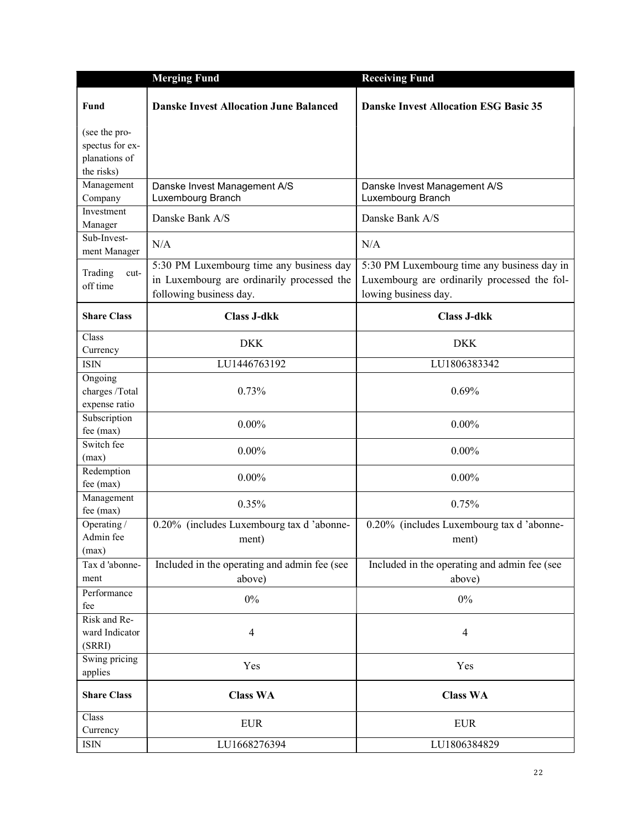|                                                                 | <b>Merging Fund</b>                                                                                               | <b>Receiving Fund</b>                                                                                               |
|-----------------------------------------------------------------|-------------------------------------------------------------------------------------------------------------------|---------------------------------------------------------------------------------------------------------------------|
| Fund                                                            | <b>Danske Invest Allocation June Balanced</b>                                                                     | <b>Danske Invest Allocation ESG Basic 35</b>                                                                        |
| (see the pro-<br>spectus for ex-<br>planations of<br>the risks) |                                                                                                                   |                                                                                                                     |
| Management<br>Company                                           | Danske Invest Management A/S<br>Luxembourg Branch                                                                 | Danske Invest Management A/S<br>Luxembourg Branch                                                                   |
| Investment<br>Manager                                           | Danske Bank A/S                                                                                                   | Danske Bank A/S                                                                                                     |
| Sub-Invest-<br>ment Manager                                     | N/A                                                                                                               | N/A                                                                                                                 |
| Trading<br>cut-<br>off time                                     | 5:30 PM Luxembourg time any business day<br>in Luxembourg are ordinarily processed the<br>following business day. | 5:30 PM Luxembourg time any business day in<br>Luxembourg are ordinarily processed the fol-<br>lowing business day. |
| <b>Share Class</b>                                              | <b>Class J-dkk</b>                                                                                                | <b>Class J-dkk</b>                                                                                                  |
| Class<br>Currency                                               | <b>DKK</b>                                                                                                        | <b>DKK</b>                                                                                                          |
| <b>ISIN</b>                                                     | LU1446763192                                                                                                      | LU1806383342                                                                                                        |
| Ongoing<br>charges /Total<br>expense ratio                      | 0.73%                                                                                                             | 0.69%                                                                                                               |
| Subscription<br>fee (max)                                       | $0.00\%$                                                                                                          | $0.00\%$                                                                                                            |
| Switch fee<br>(max)                                             | $0.00\%$                                                                                                          | $0.00\%$                                                                                                            |
| Redemption<br>fee $(max)$                                       | $0.00\%$                                                                                                          | $0.00\%$                                                                                                            |
| Management<br>fee (max)                                         | 0.35%                                                                                                             | 0.75%                                                                                                               |
| Operating /<br>Admin fee<br>(max)                               | 0.20% (includes Luxembourg tax d'abonne-<br>ment)                                                                 | 0.20% (includes Luxembourg tax d 'abonne-<br>ment)                                                                  |
| Tax d'abonne-<br>ment                                           | Included in the operating and admin fee (see<br>above)                                                            | Included in the operating and admin fee (see<br>above)                                                              |
| Performance<br>fee                                              | $0\%$                                                                                                             | $0\%$                                                                                                               |
| Risk and Re-<br>ward Indicator<br>(SRRI)                        | $\overline{4}$                                                                                                    | $\overline{4}$                                                                                                      |
| Swing pricing<br>applies                                        | Yes                                                                                                               | Yes                                                                                                                 |
| <b>Share Class</b>                                              | <b>Class WA</b>                                                                                                   | <b>Class WA</b>                                                                                                     |
| Class<br>Currency                                               | <b>EUR</b>                                                                                                        | <b>EUR</b>                                                                                                          |
| ISIN                                                            | LU1668276394                                                                                                      | LU1806384829                                                                                                        |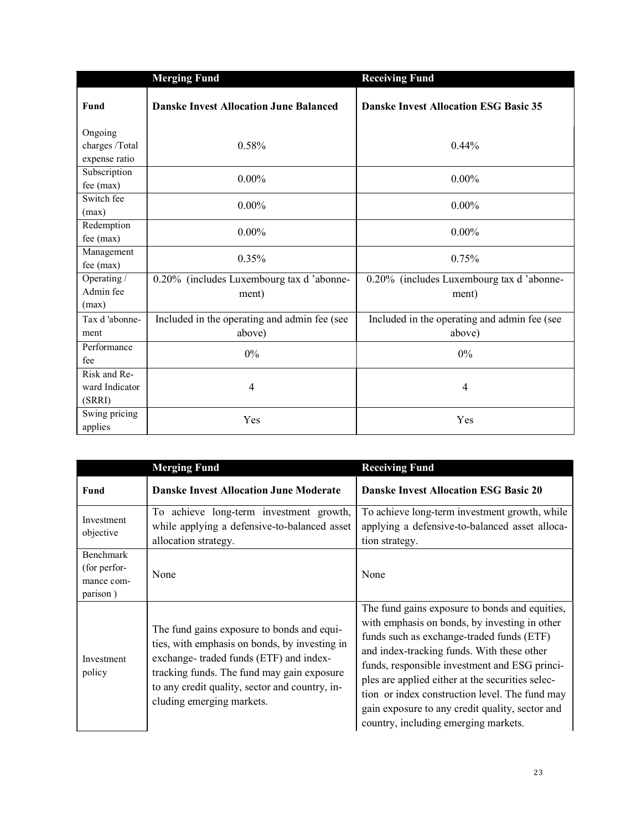|                                            | <b>Merging Fund</b>                                    | <b>Receiving Fund</b>                                  |
|--------------------------------------------|--------------------------------------------------------|--------------------------------------------------------|
| Fund                                       | <b>Danske Invest Allocation June Balanced</b>          | <b>Danske Invest Allocation ESG Basic 35</b>           |
| Ongoing<br>charges /Total<br>expense ratio | 0.58%                                                  | 0.44%                                                  |
| Subscription<br>fee (max)                  | $0.00\%$                                               | $0.00\%$                                               |
| Switch fee<br>(max)                        | $0.00\%$                                               | $0.00\%$                                               |
| Redemption<br>fee (max)                    | $0.00\%$                                               | $0.00\%$                                               |
| Management<br>fee (max)                    | 0.35%                                                  | 0.75%                                                  |
| Operating /                                | 0.20% (includes Luxembourg tax d'abonne-               | 0.20% (includes Luxembourg tax d'abonne-               |
| Admin fee                                  | ment)                                                  | ment)                                                  |
| (max)                                      |                                                        |                                                        |
| Tax d'abonne-<br>ment                      | Included in the operating and admin fee (see<br>above) | Included in the operating and admin fee (see<br>above) |
| Performance<br>fee                         | $0\%$                                                  | 0%                                                     |
| Risk and Re-<br>ward Indicator<br>(SRRI)   | $\overline{4}$                                         | 4                                                      |
| Swing pricing<br>applies                   | Yes                                                    | Yes                                                    |

|                                                            | <b>Merging Fund</b>                                                                                                                                                                                                                                                | <b>Receiving Fund</b>                                                                                                                                                                                                                                                                                                                                                                                                                        |
|------------------------------------------------------------|--------------------------------------------------------------------------------------------------------------------------------------------------------------------------------------------------------------------------------------------------------------------|----------------------------------------------------------------------------------------------------------------------------------------------------------------------------------------------------------------------------------------------------------------------------------------------------------------------------------------------------------------------------------------------------------------------------------------------|
| Fund                                                       | <b>Danske Invest Allocation June Moderate</b>                                                                                                                                                                                                                      | <b>Danske Invest Allocation ESG Basic 20</b>                                                                                                                                                                                                                                                                                                                                                                                                 |
| Investment<br>objective                                    | To achieve long-term investment growth,<br>while applying a defensive-to-balanced asset<br>allocation strategy.                                                                                                                                                    | To achieve long-term investment growth, while<br>applying a defensive-to-balanced asset alloca-<br>tion strategy.                                                                                                                                                                                                                                                                                                                            |
| <b>Benchmark</b><br>(for perfor-<br>mance com-<br>parison) | None                                                                                                                                                                                                                                                               | None                                                                                                                                                                                                                                                                                                                                                                                                                                         |
| Investment<br>policy                                       | The fund gains exposure to bonds and equi-<br>ties, with emphasis on bonds, by investing in<br>exchange-traded funds (ETF) and index-<br>tracking funds. The fund may gain exposure<br>to any credit quality, sector and country, in-<br>cluding emerging markets. | The fund gains exposure to bonds and equities,<br>with emphasis on bonds, by investing in other<br>funds such as exchange-traded funds (ETF)<br>and index-tracking funds. With these other<br>funds, responsible investment and ESG princi-<br>ples are applied either at the securities selec-<br>tion or index construction level. The fund may<br>gain exposure to any credit quality, sector and<br>country, including emerging markets. |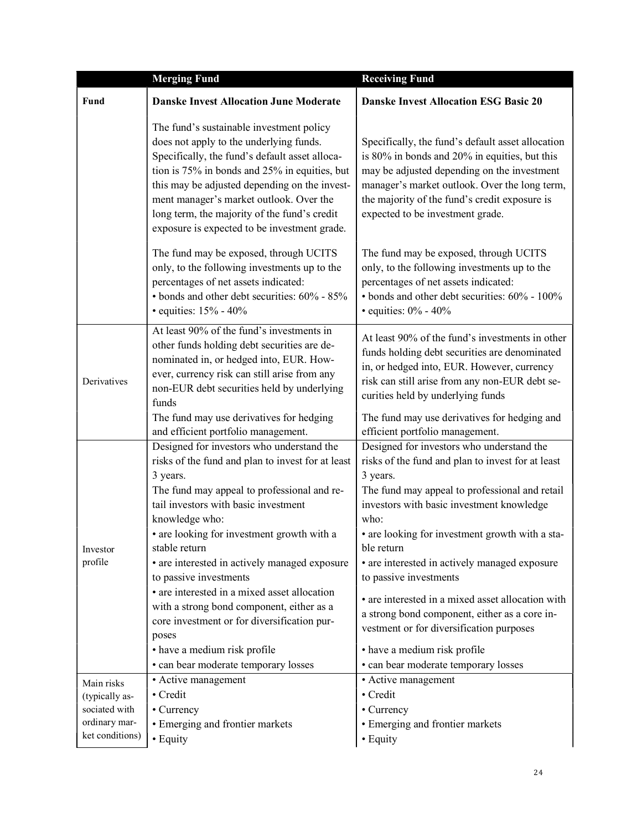|                                                   | <b>Merging Fund</b>                                                                                                                                                                                                                                                                                                                                                                                                                                                                                                                                                                        | <b>Receiving Fund</b>                                                                                                                                                                                                                                                                                                                                                                                                                                                                                                                                                                   |
|---------------------------------------------------|--------------------------------------------------------------------------------------------------------------------------------------------------------------------------------------------------------------------------------------------------------------------------------------------------------------------------------------------------------------------------------------------------------------------------------------------------------------------------------------------------------------------------------------------------------------------------------------------|-----------------------------------------------------------------------------------------------------------------------------------------------------------------------------------------------------------------------------------------------------------------------------------------------------------------------------------------------------------------------------------------------------------------------------------------------------------------------------------------------------------------------------------------------------------------------------------------|
| Fund                                              | <b>Danske Invest Allocation June Moderate</b>                                                                                                                                                                                                                                                                                                                                                                                                                                                                                                                                              | <b>Danske Invest Allocation ESG Basic 20</b>                                                                                                                                                                                                                                                                                                                                                                                                                                                                                                                                            |
|                                                   | The fund's sustainable investment policy<br>does not apply to the underlying funds.<br>Specifically, the fund's default asset alloca-<br>tion is 75% in bonds and 25% in equities, but<br>this may be adjusted depending on the invest-<br>ment manager's market outlook. Over the<br>long term, the majority of the fund's credit<br>exposure is expected to be investment grade.                                                                                                                                                                                                         | Specifically, the fund's default asset allocation<br>is 80% in bonds and 20% in equities, but this<br>may be adjusted depending on the investment<br>manager's market outlook. Over the long term,<br>the majority of the fund's credit exposure is<br>expected to be investment grade.                                                                                                                                                                                                                                                                                                 |
|                                                   | The fund may be exposed, through UCITS<br>only, to the following investments up to the<br>percentages of net assets indicated:<br>• bonds and other debt securities: 60% - 85%<br>• equities: $15% - 40%$                                                                                                                                                                                                                                                                                                                                                                                  | The fund may be exposed, through UCITS<br>only, to the following investments up to the<br>percentages of net assets indicated:<br>• bonds and other debt securities: 60% - 100%<br>• equities: $0\%$ - $40\%$                                                                                                                                                                                                                                                                                                                                                                           |
| Derivatives                                       | At least 90% of the fund's investments in<br>other funds holding debt securities are de-<br>nominated in, or hedged into, EUR. How-<br>ever, currency risk can still arise from any<br>non-EUR debt securities held by underlying<br>funds                                                                                                                                                                                                                                                                                                                                                 | At least 90% of the fund's investments in other<br>funds holding debt securities are denominated<br>in, or hedged into, EUR. However, currency<br>risk can still arise from any non-EUR debt se-<br>curities held by underlying funds                                                                                                                                                                                                                                                                                                                                                   |
|                                                   | The fund may use derivatives for hedging<br>and efficient portfolio management.                                                                                                                                                                                                                                                                                                                                                                                                                                                                                                            | The fund may use derivatives for hedging and<br>efficient portfolio management.                                                                                                                                                                                                                                                                                                                                                                                                                                                                                                         |
| Investor<br>profile                               | Designed for investors who understand the<br>risks of the fund and plan to invest for at least<br>3 years.<br>The fund may appeal to professional and re-<br>tail investors with basic investment<br>knowledge who:<br>• are looking for investment growth with a<br>stable return<br>• are interested in actively managed exposure<br>to passive investments<br>• are interested in a mixed asset allocation<br>with a strong bond component, either as a<br>core investment or for diversification pur-<br>poses<br>• have a medium risk profile<br>• can bear moderate temporary losses | Designed for investors who understand the<br>risks of the fund and plan to invest for at least<br>3 years.<br>The fund may appeal to professional and retail<br>investors with basic investment knowledge<br>who:<br>• are looking for investment growth with a sta-<br>ble return<br>• are interested in actively managed exposure<br>to passive investments<br>• are interested in a mixed asset allocation with<br>a strong bond component, either as a core in-<br>vestment or for diversification purposes<br>• have a medium risk profile<br>• can bear moderate temporary losses |
| Main risks<br>(typically as-                      | • Active management<br>• Credit                                                                                                                                                                                                                                                                                                                                                                                                                                                                                                                                                            | • Active management<br>• Credit                                                                                                                                                                                                                                                                                                                                                                                                                                                                                                                                                         |
| sociated with<br>ordinary mar-<br>ket conditions) | • Currency<br>• Emerging and frontier markets<br>• Equity                                                                                                                                                                                                                                                                                                                                                                                                                                                                                                                                  | • Currency<br>• Emerging and frontier markets<br>• Equity                                                                                                                                                                                                                                                                                                                                                                                                                                                                                                                               |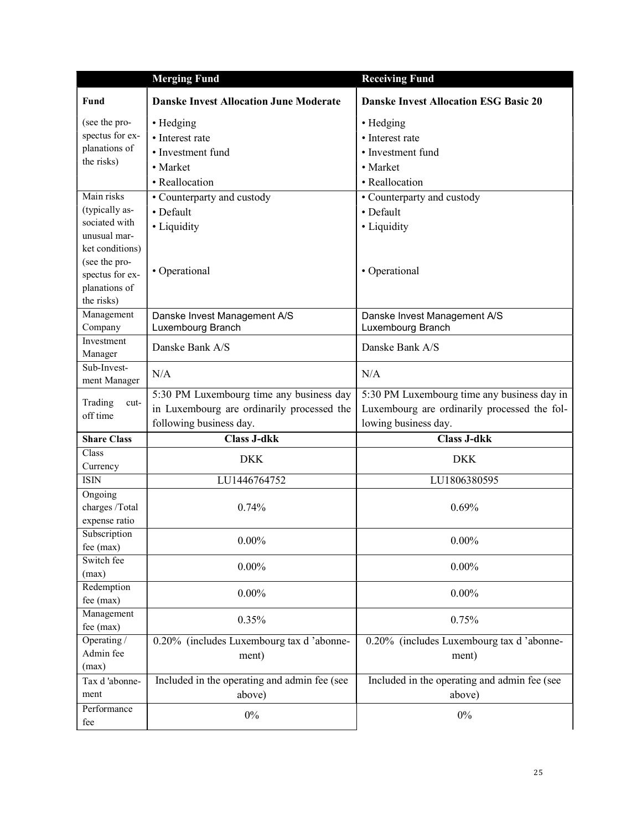|                                  | <b>Merging Fund</b>                           | <b>Receiving Fund</b>                        |
|----------------------------------|-----------------------------------------------|----------------------------------------------|
| Fund                             | <b>Danske Invest Allocation June Moderate</b> | <b>Danske Invest Allocation ESG Basic 20</b> |
| (see the pro-                    | • Hedging                                     | • Hedging                                    |
| spectus for ex-                  | • Interest rate                               | • Interest rate                              |
| planations of                    | • Investment fund                             | • Investment fund                            |
| the risks)                       | • Market                                      | • Market                                     |
|                                  | • Reallocation                                | • Reallocation                               |
| Main risks                       | • Counterparty and custody                    | • Counterparty and custody                   |
| (typically as-                   | • Default                                     | • Default                                    |
| sociated with                    | • Liquidity                                   | • Liquidity                                  |
| unusual mar-                     |                                               |                                              |
| ket conditions)                  |                                               |                                              |
| (see the pro-                    | • Operational                                 | • Operational                                |
| spectus for ex-<br>planations of |                                               |                                              |
| the risks)                       |                                               |                                              |
| Management                       | Danske Invest Management A/S                  | Danske Invest Management A/S                 |
| Company                          | Luxembourg Branch                             | Luxembourg Branch                            |
| Investment                       |                                               |                                              |
| Manager                          | Danske Bank A/S                               | Danske Bank A/S                              |
| Sub-Invest-                      | N/A                                           | N/A                                          |
| ment Manager                     |                                               |                                              |
| Trading<br>cut-                  | 5:30 PM Luxembourg time any business day      | 5:30 PM Luxembourg time any business day in  |
| off time                         | in Luxembourg are ordinarily processed the    | Luxembourg are ordinarily processed the fol- |
|                                  | following business day.                       | lowing business day.                         |
| <b>Share Class</b>               | <b>Class J-dkk</b>                            | <b>Class J-dkk</b>                           |
| Class                            | <b>DKK</b>                                    | <b>DKK</b>                                   |
| Currency                         |                                               |                                              |
| <b>ISIN</b>                      | LU1446764752                                  | LU1806380595                                 |
| Ongoing<br>charges /Total        | 0.74%                                         | 0.69%                                        |
| expense ratio                    |                                               |                                              |
| Subscription                     |                                               |                                              |
| fee (max)                        | $0.00\%$                                      | $0.00\%$                                     |
| Switch fee                       |                                               |                                              |
| (max)                            | $0.00\%$                                      | $0.00\%$                                     |
| Redemption                       | $0.00\%$                                      | $0.00\%$                                     |
| fee (max)                        |                                               |                                              |
| Management                       | 0.35%                                         | 0.75%                                        |
| fee (max)                        |                                               |                                              |
| Operating /                      | 0.20% (includes Luxembourg tax d'abonne-      | 0.20% (includes Luxembourg tax d'abonne-     |
| Admin fee                        | ment)                                         | ment)                                        |
| (max)                            |                                               |                                              |
| Tax d'abonne-                    | Included in the operating and admin fee (see  | Included in the operating and admin fee (see |
| ment                             | above)                                        | above)                                       |
| Performance                      | $0\%$                                         | $0\%$                                        |
| fee                              |                                               |                                              |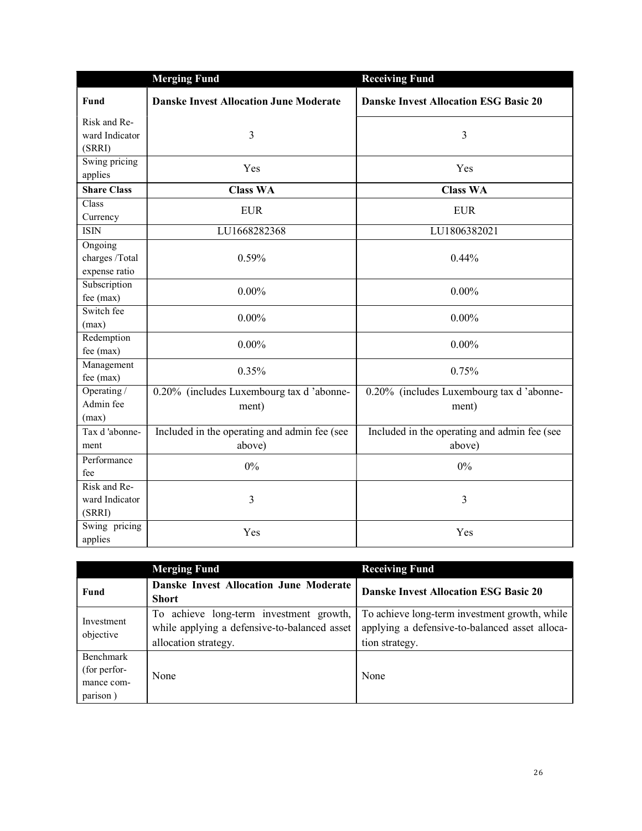|                                                | <b>Merging Fund</b>                                    | <b>Receiving Fund</b>                                  |
|------------------------------------------------|--------------------------------------------------------|--------------------------------------------------------|
| Fund                                           | <b>Danske Invest Allocation June Moderate</b>          | <b>Danske Invest Allocation ESG Basic 20</b>           |
| Risk and Re-<br>ward Indicator<br>(SRRI)       | 3                                                      | 3                                                      |
| Swing pricing<br>applies                       | Yes                                                    | Yes                                                    |
| <b>Share Class</b>                             | <b>Class WA</b>                                        | <b>Class WA</b>                                        |
| Class<br>Currency                              | <b>EUR</b>                                             | <b>EUR</b>                                             |
| <b>ISIN</b>                                    | LU1668282368                                           | LU1806382021                                           |
| Ongoing<br>charges /Total<br>expense ratio     | 0.59%                                                  | 0.44%                                                  |
| Subscription<br>fee (max)                      | $0.00\%$                                               | $0.00\%$                                               |
| Switch fee<br>(max)                            | $0.00\%$                                               | $0.00\%$                                               |
| Redemption<br>fee (max)                        | $0.00\%$                                               | $0.00\%$                                               |
| Management<br>fee (max)                        | 0.35%                                                  | 0.75%                                                  |
| Operating $\overline{a}$<br>Admin fee<br>(max) | 0.20% (includes Luxembourg tax d'abonne-<br>ment)      | 0.20% (includes Luxembourg tax d'abonne-<br>ment)      |
| Tax d'abonne-<br>ment                          | Included in the operating and admin fee (see<br>above) | Included in the operating and admin fee (see<br>above) |
| Performance<br>fee                             | 0%                                                     | 0%                                                     |
| Risk and Re-<br>ward Indicator<br>(SRRI)       | 3                                                      | 3                                                      |
| Swing pricing<br>applies                       | Yes                                                    | Yes                                                    |

|                                                     | <b>Merging Fund</b>                                                                                             | <b>Receiving Fund</b>                                                                                             |
|-----------------------------------------------------|-----------------------------------------------------------------------------------------------------------------|-------------------------------------------------------------------------------------------------------------------|
| Fund                                                | Danske Invest Allocation June Moderate<br><b>Short</b>                                                          | <b>Danske Invest Allocation ESG Basic 20</b>                                                                      |
| Investment<br>objective                             | To achieve long-term investment growth,<br>while applying a defensive-to-balanced asset<br>allocation strategy. | To achieve long-term investment growth, while<br>applying a defensive-to-balanced asset alloca-<br>tion strategy. |
| Benchmark<br>(for perfor-<br>mance com-<br>parison) | None                                                                                                            | None                                                                                                              |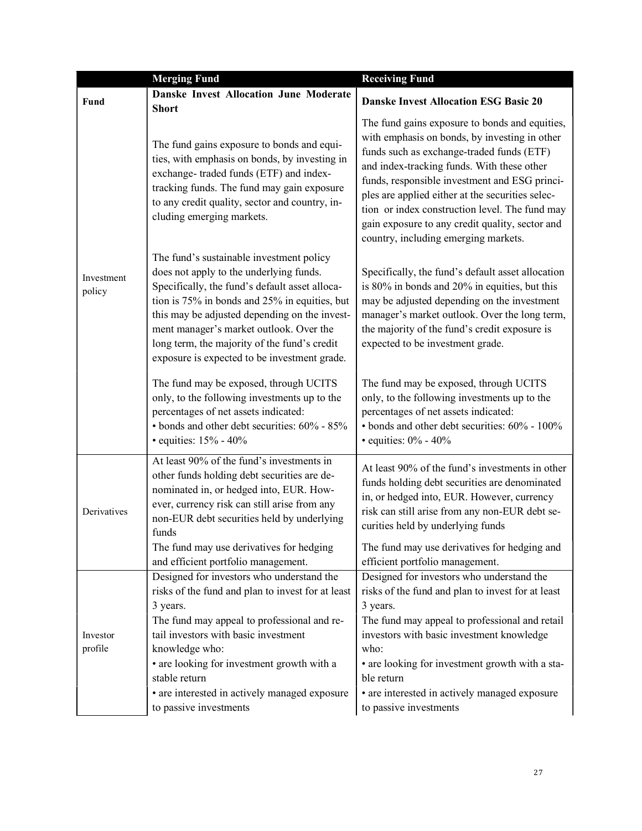|                      | <b>Merging Fund</b>                                                                                                                                                                                                                                                                                                                                                                | <b>Receiving Fund</b>                                                                                                                                                                                                                                                                                                                                                                                                                        |
|----------------------|------------------------------------------------------------------------------------------------------------------------------------------------------------------------------------------------------------------------------------------------------------------------------------------------------------------------------------------------------------------------------------|----------------------------------------------------------------------------------------------------------------------------------------------------------------------------------------------------------------------------------------------------------------------------------------------------------------------------------------------------------------------------------------------------------------------------------------------|
| <b>Fund</b>          | <b>Danske Invest Allocation June Moderate</b><br><b>Short</b>                                                                                                                                                                                                                                                                                                                      | <b>Danske Invest Allocation ESG Basic 20</b>                                                                                                                                                                                                                                                                                                                                                                                                 |
| Investment<br>policy | The fund gains exposure to bonds and equi-<br>ties, with emphasis on bonds, by investing in<br>exchange-traded funds (ETF) and index-<br>tracking funds. The fund may gain exposure<br>to any credit quality, sector and country, in-<br>cluding emerging markets.                                                                                                                 | The fund gains exposure to bonds and equities,<br>with emphasis on bonds, by investing in other<br>funds such as exchange-traded funds (ETF)<br>and index-tracking funds. With these other<br>funds, responsible investment and ESG princi-<br>ples are applied either at the securities selec-<br>tion or index construction level. The fund may<br>gain exposure to any credit quality, sector and<br>country, including emerging markets. |
|                      | The fund's sustainable investment policy<br>does not apply to the underlying funds.<br>Specifically, the fund's default asset alloca-<br>tion is 75% in bonds and 25% in equities, but<br>this may be adjusted depending on the invest-<br>ment manager's market outlook. Over the<br>long term, the majority of the fund's credit<br>exposure is expected to be investment grade. | Specifically, the fund's default asset allocation<br>is 80% in bonds and 20% in equities, but this<br>may be adjusted depending on the investment<br>manager's market outlook. Over the long term,<br>the majority of the fund's credit exposure is<br>expected to be investment grade.                                                                                                                                                      |
|                      | The fund may be exposed, through UCITS<br>only, to the following investments up to the<br>percentages of net assets indicated:<br>• bonds and other debt securities: 60% - 85%<br>· equities: 15% - 40%                                                                                                                                                                            | The fund may be exposed, through UCITS<br>only, to the following investments up to the<br>percentages of net assets indicated:<br>• bonds and other debt securities: 60% - 100%<br>• equities: $0\%$ - $40\%$                                                                                                                                                                                                                                |
| Derivatives          | At least 90% of the fund's investments in<br>other funds holding debt securities are de-<br>nominated in, or hedged into, EUR. How-<br>ever, currency risk can still arise from any<br>non-EUR debt securities held by underlying<br>funds                                                                                                                                         | At least 90% of the fund's investments in other<br>funds holding debt securities are denominated<br>in, or hedged into, EUR. However, currency<br>risk can still arise from any non-EUR debt se-<br>curities held by underlying funds                                                                                                                                                                                                        |
|                      | The fund may use derivatives for hedging<br>and efficient portfolio management.                                                                                                                                                                                                                                                                                                    | The fund may use derivatives for hedging and<br>efficient portfolio management.                                                                                                                                                                                                                                                                                                                                                              |
| Investor<br>profile  | Designed for investors who understand the<br>risks of the fund and plan to invest for at least<br>3 years.<br>The fund may appeal to professional and re-<br>tail investors with basic investment<br>knowledge who:<br>• are looking for investment growth with a                                                                                                                  | Designed for investors who understand the<br>risks of the fund and plan to invest for at least<br>3 years.<br>The fund may appeal to professional and retail<br>investors with basic investment knowledge<br>who:<br>• are looking for investment growth with a sta-                                                                                                                                                                         |
|                      | stable return<br>• are interested in actively managed exposure<br>to passive investments                                                                                                                                                                                                                                                                                           | ble return<br>• are interested in actively managed exposure<br>to passive investments                                                                                                                                                                                                                                                                                                                                                        |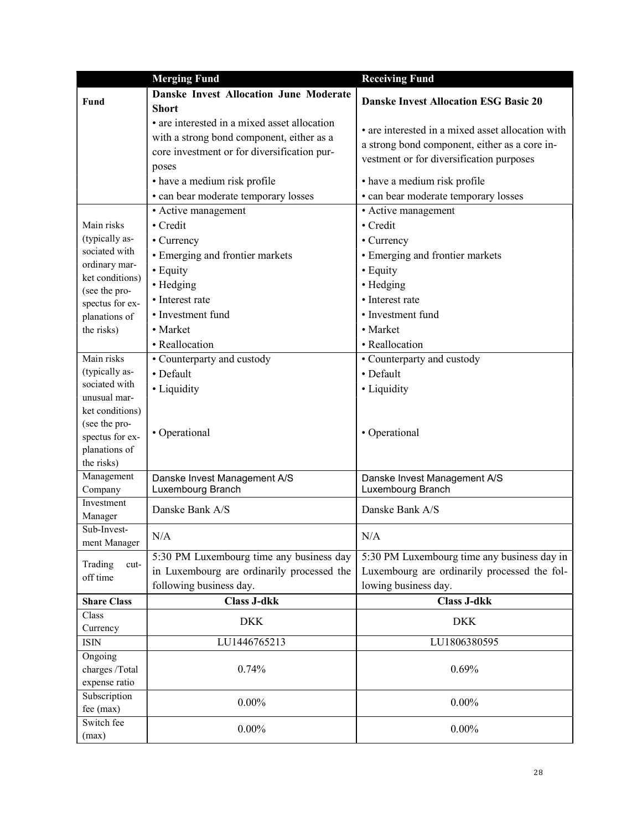|                                 | <b>Merging Fund</b>                           | <b>Receiving Fund</b>                             |
|---------------------------------|-----------------------------------------------|---------------------------------------------------|
|                                 | <b>Danske Invest Allocation June Moderate</b> |                                                   |
| Fund                            | <b>Short</b>                                  | <b>Danske Invest Allocation ESG Basic 20</b>      |
|                                 | • are interested in a mixed asset allocation  |                                                   |
|                                 | with a strong bond component, either as a     | • are interested in a mixed asset allocation with |
|                                 | core investment or for diversification pur-   | a strong bond component, either as a core in-     |
|                                 | poses                                         | vestment or for diversification purposes          |
|                                 | • have a medium risk profile                  | • have a medium risk profile                      |
|                                 | • can bear moderate temporary losses          | • can bear moderate temporary losses              |
|                                 | • Active management                           | • Active management                               |
| Main risks                      | • Credit                                      | • Credit                                          |
| (typically as-                  | • Currency                                    | • Currency                                        |
| sociated with                   | • Emerging and frontier markets               | • Emerging and frontier markets                   |
| ordinary mar-                   | • Equity                                      | • Equity                                          |
| ket conditions)                 | • Hedging                                     | • Hedging                                         |
| (see the pro-                   | • Interest rate                               | • Interest rate                                   |
| spectus for ex-                 | • Investment fund                             | • Investment fund                                 |
| planations of                   |                                               |                                                   |
| the risks)                      | • Market                                      | • Market                                          |
|                                 | • Reallocation                                | • Reallocation                                    |
| Main risks                      | • Counterparty and custody                    | • Counterparty and custody                        |
| (typically as-<br>sociated with | • Default                                     | • Default                                         |
| unusual mar-                    | • Liquidity                                   | • Liquidity                                       |
| ket conditions)                 |                                               |                                                   |
| (see the pro-                   |                                               |                                                   |
| spectus for ex-                 | • Operational                                 | • Operational                                     |
| planations of                   |                                               |                                                   |
| the risks)                      |                                               |                                                   |
| Management                      | Danske Invest Management A/S                  | Danske Invest Management A/S                      |
| Company                         | Luxembourg Branch                             | Luxembourg Branch                                 |
| Investment                      | Danske Bank A/S                               | Danske Bank A/S                                   |
| Manager                         |                                               |                                                   |
| Sub-Invest-<br>ment Manager     | N/A                                           | N/A                                               |
|                                 | 5:30 PM Luxembourg time any business day      | 5:30 PM Luxembourg time any business day in       |
| Trading<br>cut-                 | in Luxembourg are ordinarily processed the    | Luxembourg are ordinarily processed the fol-      |
| off time                        | following business day.                       | lowing business day.                              |
| <b>Share Class</b>              | <b>Class J-dkk</b>                            | <b>Class J-dkk</b>                                |
| Class                           | <b>DKK</b>                                    | <b>DKK</b>                                        |
| Currency                        |                                               |                                                   |
| <b>ISIN</b>                     | LU1446765213                                  | LU1806380595                                      |
| Ongoing                         |                                               |                                                   |
| charges /Total                  | 0.74%                                         | 0.69%                                             |
| expense ratio                   |                                               |                                                   |
| Subscription<br>fee (max)       | $0.00\%$                                      | $0.00\%$                                          |
| Switch fee                      |                                               |                                                   |
| (max)                           | $0.00\%$                                      | $0.00\%$                                          |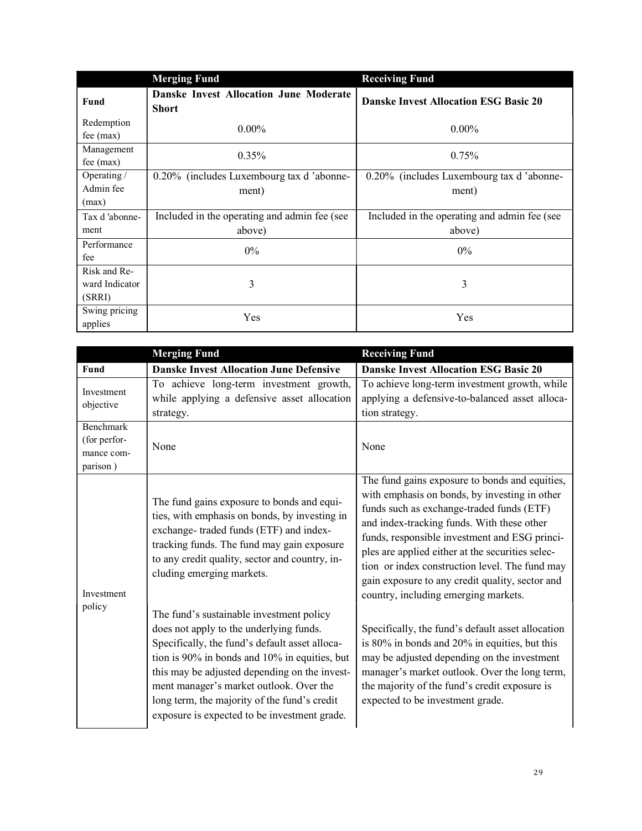|                           | <b>Merging Fund</b>                                           | <b>Receiving Fund</b>                        |
|---------------------------|---------------------------------------------------------------|----------------------------------------------|
| Fund                      | <b>Danske Invest Allocation June Moderate</b><br><b>Short</b> | <b>Danske Invest Allocation ESG Basic 20</b> |
| Redemption<br>$fee$ (max) | $0.00\%$                                                      | $0.00\%$                                     |
| Management<br>fee $(max)$ | $0.35\%$                                                      | 0.75%                                        |
| Operating /               | 0.20% (includes Luxembourg tax d 'abonne-                     | 0.20% (includes Luxembourg tax d'abonne-     |
| Admin fee<br>(max)        | ment)                                                         | ment)                                        |
| Tax d'abonne-             | Included in the operating and admin fee (see                  | Included in the operating and admin fee (see |
| ment                      | above)                                                        | above)                                       |
| Performance<br>fee        | $0\%$                                                         | $0\%$                                        |
| Risk and Re-              |                                                               |                                              |
| ward Indicator            | 3                                                             | 3                                            |
| (SRRI)                    |                                                               |                                              |
| Swing pricing<br>applies  | Yes                                                           | Yes                                          |

|                                                            | <b>Merging Fund</b>                                                                                                                                                                                                                                                                                                                                                                | <b>Receiving Fund</b>                                                                                                                                                                                                                                                                                                                                                                                                                        |
|------------------------------------------------------------|------------------------------------------------------------------------------------------------------------------------------------------------------------------------------------------------------------------------------------------------------------------------------------------------------------------------------------------------------------------------------------|----------------------------------------------------------------------------------------------------------------------------------------------------------------------------------------------------------------------------------------------------------------------------------------------------------------------------------------------------------------------------------------------------------------------------------------------|
| Fund                                                       | <b>Danske Invest Allocation June Defensive</b>                                                                                                                                                                                                                                                                                                                                     | <b>Danske Invest Allocation ESG Basic 20</b>                                                                                                                                                                                                                                                                                                                                                                                                 |
| Investment<br>objective                                    | To achieve long-term investment growth,<br>while applying a defensive asset allocation<br>strategy.                                                                                                                                                                                                                                                                                | To achieve long-term investment growth, while<br>applying a defensive-to-balanced asset alloca-<br>tion strategy.                                                                                                                                                                                                                                                                                                                            |
| <b>Benchmark</b><br>(for perfor-<br>mance com-<br>parison) | None                                                                                                                                                                                                                                                                                                                                                                               | None                                                                                                                                                                                                                                                                                                                                                                                                                                         |
| Investment                                                 | The fund gains exposure to bonds and equi-<br>ties, with emphasis on bonds, by investing in<br>exchange-traded funds (ETF) and index-<br>tracking funds. The fund may gain exposure<br>to any credit quality, sector and country, in-<br>cluding emerging markets.                                                                                                                 | The fund gains exposure to bonds and equities,<br>with emphasis on bonds, by investing in other<br>funds such as exchange-traded funds (ETF)<br>and index-tracking funds. With these other<br>funds, responsible investment and ESG princi-<br>ples are applied either at the securities selec-<br>tion or index construction level. The fund may<br>gain exposure to any credit quality, sector and<br>country, including emerging markets. |
| policy                                                     | The fund's sustainable investment policy<br>does not apply to the underlying funds.<br>Specifically, the fund's default asset alloca-<br>tion is 90% in bonds and 10% in equities, but<br>this may be adjusted depending on the invest-<br>ment manager's market outlook. Over the<br>long term, the majority of the fund's credit<br>exposure is expected to be investment grade. | Specifically, the fund's default asset allocation<br>is 80% in bonds and 20% in equities, but this<br>may be adjusted depending on the investment<br>manager's market outlook. Over the long term,<br>the majority of the fund's credit exposure is<br>expected to be investment grade.                                                                                                                                                      |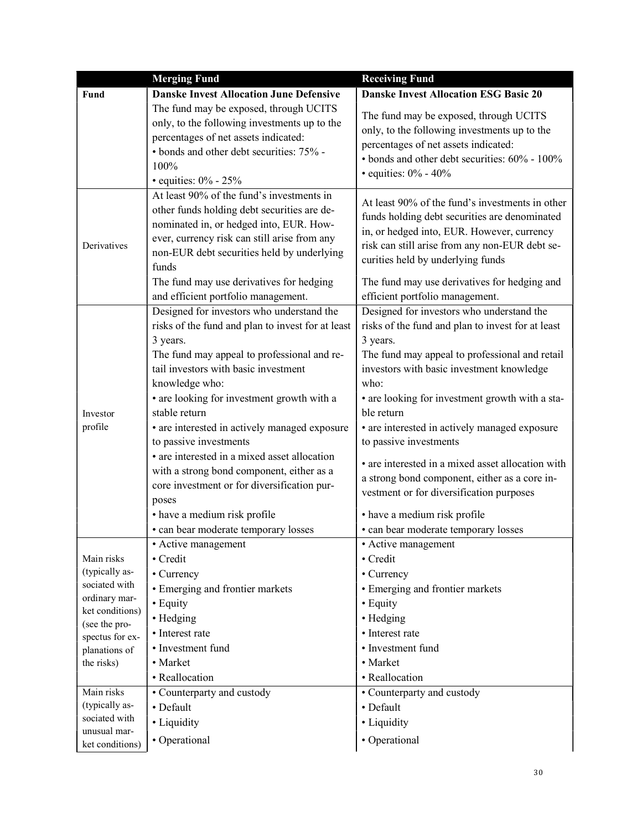|                                  | <b>Merging Fund</b>                                                                                                                                                                                                                                                                                                                                                                                                                                                                                                                                | <b>Receiving Fund</b>                                                                                                                                                                                                                                                                                                                                                                                                                                                                                                                           |
|----------------------------------|----------------------------------------------------------------------------------------------------------------------------------------------------------------------------------------------------------------------------------------------------------------------------------------------------------------------------------------------------------------------------------------------------------------------------------------------------------------------------------------------------------------------------------------------------|-------------------------------------------------------------------------------------------------------------------------------------------------------------------------------------------------------------------------------------------------------------------------------------------------------------------------------------------------------------------------------------------------------------------------------------------------------------------------------------------------------------------------------------------------|
| <b>Fund</b>                      | <b>Danske Invest Allocation June Defensive</b>                                                                                                                                                                                                                                                                                                                                                                                                                                                                                                     | <b>Danske Invest Allocation ESG Basic 20</b>                                                                                                                                                                                                                                                                                                                                                                                                                                                                                                    |
|                                  | The fund may be exposed, through UCITS<br>only, to the following investments up to the<br>percentages of net assets indicated:<br>• bonds and other debt securities: 75% -<br>100%<br>• equities: $0\%$ - 25%                                                                                                                                                                                                                                                                                                                                      | The fund may be exposed, through UCITS<br>only, to the following investments up to the<br>percentages of net assets indicated:<br>• bonds and other debt securities: 60% - 100%<br>• equities: $0\%$ - $40\%$                                                                                                                                                                                                                                                                                                                                   |
| Derivatives                      | At least 90% of the fund's investments in<br>other funds holding debt securities are de-<br>nominated in, or hedged into, EUR. How-<br>ever, currency risk can still arise from any<br>non-EUR debt securities held by underlying<br>funds<br>The fund may use derivatives for hedging                                                                                                                                                                                                                                                             | At least 90% of the fund's investments in other<br>funds holding debt securities are denominated<br>in, or hedged into, EUR. However, currency<br>risk can still arise from any non-EUR debt se-<br>curities held by underlying funds<br>The fund may use derivatives for hedging and                                                                                                                                                                                                                                                           |
|                                  | and efficient portfolio management.                                                                                                                                                                                                                                                                                                                                                                                                                                                                                                                | efficient portfolio management.                                                                                                                                                                                                                                                                                                                                                                                                                                                                                                                 |
| Investor<br>profile              | Designed for investors who understand the<br>risks of the fund and plan to invest for at least<br>3 years.<br>The fund may appeal to professional and re-<br>tail investors with basic investment<br>knowledge who:<br>• are looking for investment growth with a<br>stable return<br>• are interested in actively managed exposure<br>to passive investments<br>• are interested in a mixed asset allocation<br>with a strong bond component, either as a<br>core investment or for diversification pur-<br>poses<br>• have a medium risk profile | Designed for investors who understand the<br>risks of the fund and plan to invest for at least<br>3 years.<br>The fund may appeal to professional and retail<br>investors with basic investment knowledge<br>who:<br>• are looking for investment growth with a sta-<br>ble return<br>• are interested in actively managed exposure<br>to passive investments<br>• are interested in a mixed asset allocation with<br>a strong bond component, either as a core in-<br>vestment or for diversification purposes<br>• have a medium risk profile |
|                                  |                                                                                                                                                                                                                                                                                                                                                                                                                                                                                                                                                    |                                                                                                                                                                                                                                                                                                                                                                                                                                                                                                                                                 |
| Main risks                       | · can bear moderate temporary losses<br>• Active management<br>• Credit                                                                                                                                                                                                                                                                                                                                                                                                                                                                            | • can bear moderate temporary losses<br>• Active management<br>• Credit                                                                                                                                                                                                                                                                                                                                                                                                                                                                         |
| (typically as-                   | • Currency                                                                                                                                                                                                                                                                                                                                                                                                                                                                                                                                         | • Currency                                                                                                                                                                                                                                                                                                                                                                                                                                                                                                                                      |
| sociated with                    | • Emerging and frontier markets                                                                                                                                                                                                                                                                                                                                                                                                                                                                                                                    | • Emerging and frontier markets                                                                                                                                                                                                                                                                                                                                                                                                                                                                                                                 |
| ordinary mar-                    | • Equity                                                                                                                                                                                                                                                                                                                                                                                                                                                                                                                                           | • Equity                                                                                                                                                                                                                                                                                                                                                                                                                                                                                                                                        |
| ket conditions)<br>(see the pro- | • Hedging                                                                                                                                                                                                                                                                                                                                                                                                                                                                                                                                          | • Hedging                                                                                                                                                                                                                                                                                                                                                                                                                                                                                                                                       |
| spectus for ex-                  | • Interest rate                                                                                                                                                                                                                                                                                                                                                                                                                                                                                                                                    | • Interest rate                                                                                                                                                                                                                                                                                                                                                                                                                                                                                                                                 |
| planations of                    | • Investment fund                                                                                                                                                                                                                                                                                                                                                                                                                                                                                                                                  | • Investment fund                                                                                                                                                                                                                                                                                                                                                                                                                                                                                                                               |
| the risks)                       | • Market                                                                                                                                                                                                                                                                                                                                                                                                                                                                                                                                           | • Market                                                                                                                                                                                                                                                                                                                                                                                                                                                                                                                                        |
|                                  | • Reallocation                                                                                                                                                                                                                                                                                                                                                                                                                                                                                                                                     | • Reallocation                                                                                                                                                                                                                                                                                                                                                                                                                                                                                                                                  |
| Main risks                       | • Counterparty and custody                                                                                                                                                                                                                                                                                                                                                                                                                                                                                                                         | • Counterparty and custody                                                                                                                                                                                                                                                                                                                                                                                                                                                                                                                      |
| (typically as-                   | • Default                                                                                                                                                                                                                                                                                                                                                                                                                                                                                                                                          | • Default                                                                                                                                                                                                                                                                                                                                                                                                                                                                                                                                       |
| sociated with                    | • Liquidity                                                                                                                                                                                                                                                                                                                                                                                                                                                                                                                                        | • Liquidity                                                                                                                                                                                                                                                                                                                                                                                                                                                                                                                                     |
| unusual mar-<br>ket conditions)  | • Operational                                                                                                                                                                                                                                                                                                                                                                                                                                                                                                                                      | • Operational                                                                                                                                                                                                                                                                                                                                                                                                                                                                                                                                   |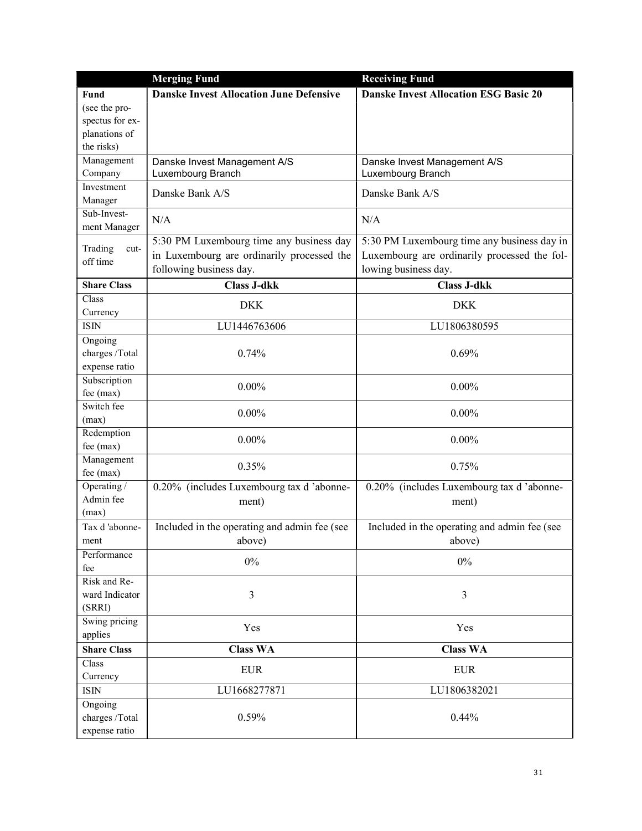|                         | <b>Merging Fund</b>                            | <b>Receiving Fund</b>                        |
|-------------------------|------------------------------------------------|----------------------------------------------|
| Fund                    | <b>Danske Invest Allocation June Defensive</b> | <b>Danske Invest Allocation ESG Basic 20</b> |
| (see the pro-           |                                                |                                              |
| spectus for ex-         |                                                |                                              |
| planations of           |                                                |                                              |
| the risks)              |                                                |                                              |
| Management              | Danske Invest Management A/S                   | Danske Invest Management A/S                 |
| Company                 | Luxembourg Branch                              | Luxembourg Branch                            |
| Investment              | Danske Bank A/S                                | Danske Bank A/S                              |
| Manager                 |                                                |                                              |
| Sub-Invest-             | N/A                                            | N/A                                          |
| ment Manager            |                                                |                                              |
| Trading<br>cut-         | 5:30 PM Luxembourg time any business day       | 5:30 PM Luxembourg time any business day in  |
| off time                | in Luxembourg are ordinarily processed the     | Luxembourg are ordinarily processed the fol- |
|                         | following business day.                        | lowing business day.                         |
| <b>Share Class</b>      | <b>Class J-dkk</b>                             | <b>Class J-dkk</b>                           |
| Class                   |                                                |                                              |
| Currency                | <b>DKK</b>                                     | <b>DKK</b>                                   |
| <b>ISIN</b>             | LU1446763606                                   | LU1806380595                                 |
| Ongoing                 |                                                |                                              |
| charges /Total          | 0.74%                                          | 0.69%                                        |
| expense ratio           |                                                |                                              |
| Subscription            | $0.00\%$                                       | $0.00\%$                                     |
| fee (max)               |                                                |                                              |
| Switch fee              | $0.00\%$                                       | $0.00\%$                                     |
| (max)                   |                                                |                                              |
| Redemption              | $0.00\%$                                       | $0.00\%$                                     |
| fee (max)               |                                                |                                              |
| Management<br>fee (max) | 0.35%                                          | 0.75%                                        |
| Operating /             | 0.20% (includes Luxembourg tax d'abonne-       | 0.20% (includes Luxembourg tax d'abonne-     |
| Admin fee               |                                                |                                              |
| (max)                   | ment)                                          | ment)                                        |
| Tax d'abonne-           | Included in the operating and admin fee (see   | Included in the operating and admin fee (see |
| ment                    | above)                                         | above)                                       |
| Performance             |                                                |                                              |
| fee                     | $0\%$                                          | $0\%$                                        |
| Risk and Re-            |                                                |                                              |
| ward Indicator          | 3                                              | 3                                            |
| (SRRI)                  |                                                |                                              |
| Swing pricing           |                                                |                                              |
| applies                 | Yes                                            | Yes                                          |
| <b>Share Class</b>      | <b>Class WA</b>                                | <b>Class WA</b>                              |
| Class                   | <b>EUR</b>                                     | <b>EUR</b>                                   |
| Currency                |                                                |                                              |
| <b>ISIN</b>             | LU1668277871                                   | LU1806382021                                 |
| Ongoing                 |                                                |                                              |
| charges /Total          | 0.59%                                          | 0.44%                                        |
| expense ratio           |                                                |                                              |